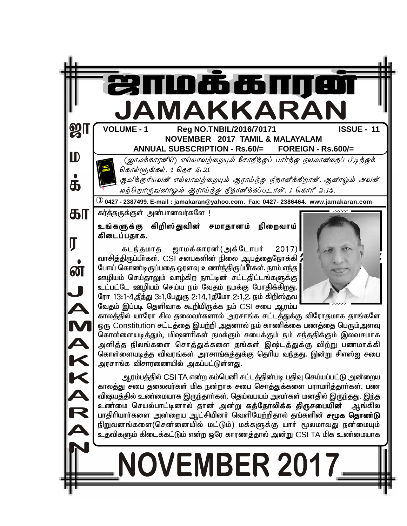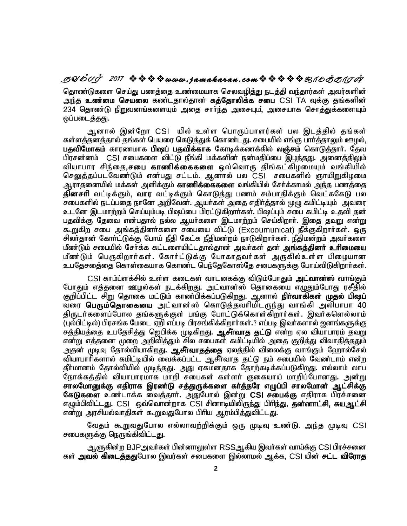**SYmTo <sup>2017</sup> www . jamaka ran . com\_ôUdLôWu** தொண்டுகளை செய்து பணத்தை உண்மையாக செலவழித்து நடத்தி வந்தார்கள் அவர்களின் <u>அந்த</u> **உண்மை செயலை** கண்டதால்தான் **கத்தோலிக்க சபை** CSI TA வுக்கு தங்களின் 234 தொண்டு நிறுவனங்களையும் அதை சார்ந்த அசையும், அசையாக சொத்துக்களையும் ஒப்படைத்தது.

ஆனால் இன்றோ CSI யில் உள்ள பொருப்பாளர்கள் பல இடத்தில் தங்கள் கள்ளத்தனத்தால் தங்கள் பெயரை கெடுத்துக் கொண்டது. சபையில் எங்கு பார்த்தாலும் ஊழல், **பதவிமோகம்** காரணமாக **பிஷப் பதவிக்காக** கோடிக்கணக்கில் **லஞ்சம்** கொடுத்தார். தேவ பிரசன்னம் CSI சபைகளை விட்டு நீங்கி மக்களின் நன்மதிப்பை இமந்தது. அனைத்திலும் வியாபார சிந்தை,**சபை காணிக்கைகளை** ஒவ்வொரு திங்கட்கிழமையும் வங்கியில் செலுத்தப்படவேண்டும் என்பது சட்டம். ஆனால் பல CSI சபைகளில் ஞாயிறுகிழமை ஆராதனையில் மக்கள் அளிக்கும் **காணிக்கைகளை** வங்கியில் சேர்க்காமல் <u>அந்</u>த பணத்தை <mark>தினசரி</mark> வட்டிக்கும், **வார** வட்டிக்கும் கொடுத்து பணம் சம்பாதிக்கும் வெட்ககேடு பல சபைகளில் நடப்பதை நானே அறிவேன். ஆயர்கள் அதை எதிர்த்தால் முழு கமிட்டியும் அவரை உடனே இடமாற்றம் செய்யும்படி பிஷப்பை மிரட்டுகிறார்கள். பிஷப்பும் சபை கமிட்டி உதவி தன் பதவிக்கு தேவை என்பதால் நல்ல ஆயா்களை இடமாற்றம் செய்கிறாா். இதை தவறு என்று கூறுகிற சபை அங்கத்தினர்களை சபையை விட்டு (Excoumunicat) நீக்குகிறார்கள். ஒரு சிலா்தான் கோா்ட்டுக்கு போய் நீதி கேட்க நீதிமன்றம் நாடுகிறாா்கள். நீதிமன்றம் அவா்களை மீண்டும் சபையில் சேர்க்க கட்டளையிட்டதால்தான் அவர்கள் தன் **அங்கத்தினர் உரிமையை** மீண்டும் பெருகிறார்கள். கோர்ட்டுக்கு போகாதவர்கள் அருகில்உள்ள பிழையான உபதேசதை்தை கொள்கையாக கொண்ட பெந்தேகோஸ்தே சபைகளுக்கு போய்விடுகிறார்கள்.

CSI காம்ப்ளக்சில் உள்ள கடைகள் வாடகைக்கு விடும்போதும் **அட்வான்ஸ்** வாங்கும் போதும் எத்தனை ஊழல்கள் நடக்கிறது. அட்வான்ஸ் தொகையை எழுதும்போது ரசீதில் குறிப்பிட்ட சிறு தொகை மட்டும் காண்பிக்கப்படுகிறது. ஆனால் **நிர்வாகிகள் முதல் பிஷப்** ்பரை **பெரும்தொகையை** அட்வான்ஸ் கொடுத்தவரிமிடருந்து வாங்கி அலிபாபா 40 திருடர்களைப்போல தங்களுக்குள் பங்கு போட்டுக்கொள்கிறார்கள். இவர்களெல்லாம் (புல்பிட்டில்) பிரசங்க மேடை ஏறி எப்படி பிரசங்கிக்கிறார்கள்.? எப்படி இவர்களால் ஜனங்களுக்கு சத்தியத்தை உபதேசித்து ஜெபிக்க முடிகிறது. **ஆசீா்வாத தட்டு** என்ற ஏல வியாபாரம் தவறு என்று எத்தனை முறை <u>அறிவித்து</u>ம் சில சபைகள் கமிட்டியில் அதை கு<u>றித்து</u> விவாதித்ததும் அதன் முடிவு தோல்வியாகி<u>றத</u>ு. **ஆசீா்வாதத்தை** ஏலத்தில் விலைக்கு வாங்கும் ஹோல்சேல் வியாபாரிகளால் கமிட்டியில் வைக்கப்பட்ட ஆசீர்வாத தட்டு நம் சபையில் வேண்டாம் என்ற தீா்மானம் தோல்வியில் முடிந்தது. அது ஏகமனதாக தோற்கடிக்கப்படுகிறது. எல்லாம் லாப நோக்கத்தில் வியாபாரமாக மாறி சபைகள் கள்ளர் குகையாய் மாறிப்போனது. அன்று சாலமோனுக்கு எதிராக இரண்டு சத்துருக்களை கர்த்தரே எழுப்பி சாலமோன் ஆட்சிக்கு கேடுகளை உண்டாக்க வைத்தார். அதுபோல் இன்று CSI சபைக்கு எதிராக பிரச்சனை எழும்பிவிட்டது. CSI ஒவ்வொன்றாக CSI சினாடியிலிருந்து பிரிந்து, **தன்னாட்சி, சுயஆட்சி** என்று அரசியல்வாதிகள் கூறுவதுபோல பிரிய ஆரம்பித்துவிட்டது.

வேதம் கூறுவதுபோல எல்லாவற்றிக்கும் ஒரு முடிவு உண்டு. அந்த முடிவு CSI சபைகளுக்கு நெருங்கிவிட்டது.

ஆளுகின்ற BJPஅவர்கள் பின்னாலுள்ள RSSஆகிய இவர்கள் வாய்க்கு CSI பிரச்சனை கள் அவல் கிடைத்ததுபோல இவர்கள் சபைகளை இல்லாமல் ஆக்க, CSI யின் சட்ட விரோத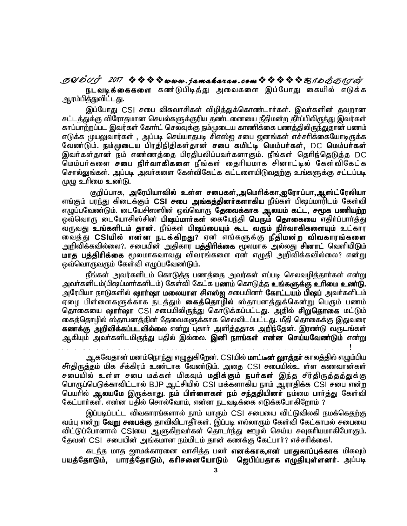**SYmTo <sup>2017</sup> www . jamaka ran . com\_ôUdLôWu நடவடிக்கைகளை** கண்டுபிடித்து அவைகளை இப்போது கையில் எடுக்க <u>ஆரம்பித்துவிட்டது.</u>

இப்போது CSI சபை விசுவாசிகள் விழித்துக்கொண்டார்கள். இவர்களின் தவறான சட்டத்துக்கு விரோகமான செயல்களுக்குரிய தண்டனையை நீதிமன்ற தீர்ப்பிலிருந்து இவர்கள் காப்பாற்றப்பட இவர்கள் கோா்ட் செலவுக்கு நம்முடைய காணிக்கை பணத்திலிருந்துதான் பணம் எடுக்க முயலுவார்கள் , அப்படி செய்யாதபடி சிஎஸ்ஐ சபை ஜனங்கள் எச்சரிக்கையோடிருக்க வேண்டும். ந**ம்முடைய** பிரதிநிதிகள்தான் **சபை கமிட்டி மெம்பர்கள், DC மெம்பர்கள்** .<br>இவர்கள்தான் நம் எண்ணத்தை பிரதிபலிப்பவர்களாகும். நீங்கள் தெரிந்தெடுத்த DC மெம்பர்களை **சபை நிர்வாகிகளை** நீங்கள் தைரியமாக சினாட்டில் கேள்விகேட்க சொல்லுங்கள். அப்படி அவர்களை கேள்விகேட்க கட்டளையிடுவகுற்கு உங்களுக்கு சட்டப்படி  $(\mu/\mu \geq \text{f}$ றை உண்டு.

குறிப்பாக, அரேபியாவில் உள்ள சபைகள்,அமெரிக்கா,ஐரோப்பா,ஆஸ்ட்ரேலியா எங்கும் பரந்து கிடைக்கும் **CSI சபை அங்கத்தினர்களாகிய** நீங்கள் பிஷப்மாரிடம் கேள்வி எழுப்பவேண்டும். டையேசிஸஸின் ஒவ்வொரு **தேவைக்காக ஆலயம் கட்ட, சமூக பணியற்ற** ஒவ்வொரு டையோசிஸ்சின் **பிஷப்மார்கள்** கையேந்தி **பெரும் தொகையை** எதிர்ப்பார்த்து வருவது உங்**களிடம் தான்.** நீங்கள் **பிஷப்பையும் கூட வரும் நிர்வாகிகளையும்** உட்கார வைத்து CSIயி**ல் என்ன நடக்கிறது**? ஏன் எங்களுக்கு **நீதிமன்ற விவகாரங்களை** அறிவிக்கவில்லை?. சபையின் அதிகார **பத்திாிக்கை** மூலமாக அல்லது **சினாட்** வெளியிடும் **மாத பத்திரிக்கை** மூலமாகவாவது விவரங்களை ஏன் எழுதி அறிவிக்கவில்லை? என்<u>று</u> <u>ஒவ்வொருவரும் கேள்வி எழுப்பவேண்டும்.</u>

நீங்கள் அவர்களிடம் கொடுக்கு பணக்கை அவர்கள் எப்படி செலவழிக்காா்கள் என்று அவா்களிடம்(பிஷப்மாா்களிடம்) கேள்வி கேட்க **பணம்** கொடுத்த **உங்களுக்கு உரிமை உண்டு.** அரேபியா நாடுகளில் **ஷாா்ஷா மலையாள சிஎஸ்ஐ** சபையினா் **கோட்டயம் பிஷப்** அவா்களிடம் ஏழை பிள்ளைகளுக்காக நடத்தும் **கைத்தொழில்** ஸ்தாபனத்துக்கென்று பெரும் பணம் தொகையை **ஷாா்ஷா** CSI சபையிலிருந்து கொடுக்கப்பட்டது. அதில் **சிறுதொகை** மட்டும் கைத்தொழில் ஸ்தாபனத்தின் தேவைகளுக்காக செலவிடப்பட்டது. மீதி தொகைக்கு இதுவரை **கணக்கு அறிவிக்கப்படவில்லை** என்று புகாா் அளித்ததாக அறிந்தேன். இரண்டு வருடங்கள் <u>ஆகியும் அவர்களிடமிருந்து</u> பதில் இல்லை. **இனி நாங்கள் என்ன செய்யவேண்டும்** என்று v d i d p l k ; n p l k m h h s ; , i j g h y g y e h y e h y e h y p j s p j s p f s ; v O e ; v O e ; j s d i

ஆகவேதான் மனம்நொந்து எழுதுகிறேன். CSlயில் **மாட்டீன் லூாத்தா்** காலத்தில் எழும்பிய சீர்திருத்தம் மிக சீக்கிரம் உண்டாக வேண்டும். அதை CSI சபையில்உ ள்ள கணவான்கள் சபையில் உள்ள சபை மக்கள் மிகவும் **மதிக்கும் நபர்கள்** இந்த சீர்திருத்தத்துக்கு பொருப்பெடுக்காவிட்டால் BJP ஆட்சியில் CSI மக்களாகிய நாம் ஆராதிக்க CSI சபை என்ற பெயரில் **ஆலயமே** இருக்காது. **நம் பிள்ளைகள் நம் சந்ததியினர்** நம்மை பார்த்து கேள்வி கேட்பார்கள். என்ன பதில் சொல்வோம். என்ன நடவடிக்கை எடுக்கபோகிறோம் ?

இப்படிப்பட்ட விவகாரங்களால் நாம் யாரும் CSI சபையை விட்டுவிலகி நமக்கெ<u>தற்கு</u> வம்பு என்று **வேறு சபைக்கு** தாவிவிடாதீர்கள். இப்படி எல்லாரும் கேள்வி கேட்காமல் சபையை விட்டுப்போனால் CSIயை ஆளுகிறவா்கள் தொடா்ந்து ஊழல் செய்ய சவுகாியமாகிபோகும். தேவன் CSI சபையின் அங்கமான நம்மிடம் தான் கணக்கு கேட்பார்? எச்சரிக்கை!. க CST சுபை என்ற<br>ம பார்த்து கேள்வி<br>'றாம் ?<br>!ிலகி நமக்கெதற்கு<br>கட்காமல் சபையை<br>புகரியமாகிபோகும்.<br>:ரிக்கை!.<br>-ரிக்கை!.

கடந்த மாத ஜாமக்காரனை வாசித்த பலர் **எனக்காக,என் பாதுகாப்புக்காக** மிகவும் பயத்தோடும், பாரத்தோடும், கரிசனையோடும் **ஜெபிப்பதாக எழுதியுள்ளனர். அப்படி**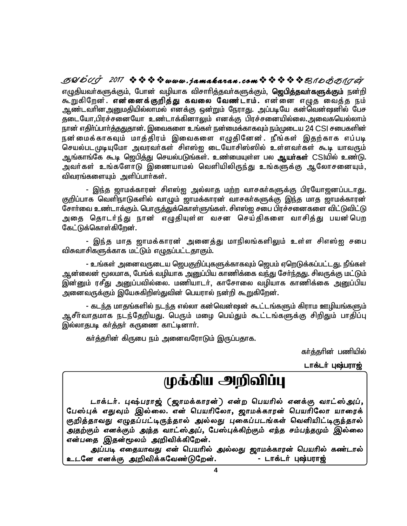எழுதியவா்களுக்கும், போன் வழியாக விசாாித்தவா்களுக்கும், **ஜெபித்தவா்களுக்கும்** நன்றி கூறுகிறேன். **என்னைக்குறித்து கவலை வேண்டாம்.** என்னை எழுத வைத்த நம் ஆண்டவரினஅனுமதியில்லாமல் எனக்கு ஒன்றும் நேராது. அப்படியே கன்வென்ஷனில் பேச தடையோ,பிரச்சனையோ உண்டாக்கினாலும் எனக்கு பிரச்சனையில்லை.அவைகயெல்லாம் நான் எதிா்ப்பாா்த்ததுதான். இவைகளை உங்கள் நன்மைக்காகவும் நம்முடைய 24 CSI சபைகளின் நன்மைக்காகவும் மாத்திரம் இவைகளை எழுதினேன். நீங்கள் இதற்காக எப்படி செயல்படமுடியுமோ அவரவர்கள் சிஎஸ்ஐ டையோசிஸ்ஸில் உள்ளவர்கள் கூடி யாவரும் ஆங்காங்கே கூடி ஜெபித்து செயல்படுங்கள். உண்மையுள்ள பல **ஆயா்கள்** CSJயில் உண்டு. அவர்கள் உங்களோடு இணையாமல் வெளியிலிருந்து உங்களுக்கு ஆலோசனையும், விவரங்களையும் அளிப்பாா்கள். **SUDUJ 2017 ななななwww.jamakaran.comななななな**思イbああけの

- இந்த ஜாமக்காரன் சிஎஸ்ஐ அல்லாத மற்ற வாசகர்களுக்கு பிரயோஜனப்படாது. குறிப்பாக வெளிநாடுகளில் வாழும் ஜாமக்காரன் வாசகா்களுக்கு இந்த மாத ஜாமக்காரன் சோர்வை உண்டாக்கும். பொருத்துக்கொள்ளுங்கள். சிஎஸ்ஐ சபை பிரச்சனைகளை விட்டுவிட்டு அதை தொடர்ந்து நான் எழுதியுள்ள வசன செய்திகளை வாசித்து பயன்பெற கேட்டுக்கொள்கிறேன்.

- இந்த மாத ஜாமக்காரன் அனைத்து மாநிலங்களிலும் உள்ள சிஎஸ்ஐ சபை விசுவாசிகளுக்காக மட்டும் எழுதப்பட்டதாகும்.

- உங்கள் அனைவருடைய ஜெபகுறிப்புகளுக்காகவும் ஜெபம் ஏறெடுக்கப்பட்டது. நீங்கள் ஆன்லைன் மூலமாக, பேங்க் வழியாக அனுப்பிய காணிக்கை வந்து சேர்ந்தது. சிலருக்கு மட்டும் இன்னும் ரசீது அனுப்பவில்லை. மணியாடர், காசோலை வழியாக காணிக்கை அறைப்பிய அனைவருக்கும் இயேசுகிறிஸ்துவின் பெயரால் நன்றி கூறுகிறேன்.

- கடந்த மாதங்களில் நடந்த எல்லா கன்வென்ஷன் கூட்டங்களும் கிராம ஊழியங்களும் ஆசீர்வாதமாக நடந்தேறியது. பெரும் மழை பெய்தும் கூட்டங்களுக்கு சிறிதும் பாதிப்பு இல்லாதபடி கர்த்தர் கருணை காட்டினார்.

கர்த்தரின் கிருபை நம் அனைவரோடும் இருப்பதாக.

கர்த்தரின் பணியில்

டாக்டர் புஷ்பரா<u>ஜ்</u>

# முக்கிய அறிவிப்பு

டாக்டர். புஷ்பராஜ் (ஜாமக்காரன்) என்ற பெயரில் எனக்கு வாட்ஸ்அப், பேஸ்புக் எதுவும் இல்லை. என் பெயரிலோ, ஜாமக்காரன் பெயரிலோ யாரைக் குறித்தாவது எழுதப்பட்டிருந்தால் அல்லது புகைப்படங்கள் வெளியிட்டிருந்தால் அதற்கும் எனக்கும் அந்த வாட்ஸ்அப், பேஸ்புக்கிற்கும் எந்த சம்பந்தமும் இல்லை என்பதை இதன்மூலம் அறிவிக்கிறேன்.

அப்படி எதையாவது என் பெயரில் அல்லது ஜாமக்காரன் பெயரில் கண்டால<mark>்</mark> **clNd vdf;F mwptpf;fNtz;LNwd;. - lhf;lh; G\;guh[;**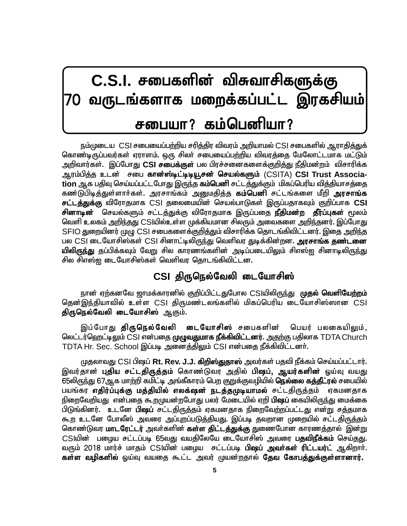# $C.S.I.$  சபைகளின் விசுவாசிகளுக்கு வருடங்களாக மறைக்கப்பட்ட இரகசியம் சபையா? கம்பெனியா?

நம்முடைய, CSI சபையைப்பற்றிய சரித்திர விவரம் அறியாமல் CSI சபைகளில் ஆராதித்துக் கொண்டிருப்பவர்கள் ஏராளம். ஒரு சிலர் சபையைப்பற்றிய விவரத்தை மேலோட்டமாக மட்டும் அறிவார்கள். இப்போது **CSI சபைக்குள்** பல பிரச்சனைகளைக்கு<u>றித்து</u> நீதிமன்றம் விசாரிக்க ஆரம்பித்த உடன் சபை கான்ஸ்டிட்டிடியூசன் செயல்களும் (CSITA) CSI Trust Associa $t$ ion ஆக பதிவு செய்யப்பட்டபோது இருந்த **கம்பெனி** சட்டத்துக்கும் மிகப்பெரிய வித்தியாசத்தை கண்டுபிடித்துள்ளார்கள். அரசாங்கம் <u>அனுமதித்த</u> **கம்பெனி** சட்டங்களை மீறி **அரசாங்க சட்டத்துக்கு** விரோதமாக CSI தலைமையின் செயல்பாடுகள் இருப்பதாகவும் குறிப்பாக **CSI சினாடின்** செயல்களும் சட்டத்துக்கு விரோதமாக இருப்பதை **நீதிமன்ற தீர்ப்புகள்** மூலம் வெளி உலகம் <u>அறிந்த</u>து CSJயில்உள்ள முக்கியமான சிலரும் அவைகளை <u>அறிந்</u>தனர். இப்போது SFIO துறையினர் முழு CSI சபைகளைக்குறித்தும் விசாரிக்க தொடங்கிவிட்டனர். இதை <u>அறிந்</u>த பல CSI டையோசிஸ்கள் CSI சினாட்டிலிருந்து வெளிவர துடிக்கின்றன. **அரசாங்க தண்டனை** <mark>யிலிருந்து</mark> தப்பிக்கவும் வேறு சில காரணங்களின் அடிப்படையிலும் சிஎஸ்<u>ஜ</u> சினாடிலிருந்து சில சிஎஸ்ற டையோசிஸ்கள் வெளிவர கொடங்கிவிட்டன.

## $CSI$  திருநெல்வேலி டையோசிஸ்

நான் ஏற்கனவே ஜாமக்காரனில் குறிப்பிட்டதுபோல CSIயிலிருந்து முதல் வெளியேற்றம் தென்இந்தியாவில் உள்ள CSI திருமண்டலங்களில் மிகப்பெரிய டையோசிஸ்ஸான CSI திருநெல்வேலி டையோசிஸ் ஆகும்.

இப்போது **திருநெல்வேலி டையோசிஸ்** சபைகளின் பெயர் பலகையிலும், லெட்டர்ஹெட்டிலும் CSI என்பதை முழுவதுமாக நீக்கிவிட்டனர். <u>அதற்கு ப</u>திலாக TDTA Church TDTA Hr. Sec. School இப்படி அனைத்திலும் CSI என்பதை நீக்கிவிட்டனர்.

முதலாவது CSI பிஷப் **Rt. Rev. J.J. கிறிஸ்துதாஸ்** அவர்கள் பதவி நீக்கம் செய்யப்பட்டார். இவர்தான் **புதிய சட்டதிருத்தம்** கொண்டுவர அதில் **பிஷப், ஆயர்களின்** ஒய்வு வயது 65லிருந்து 67ஆக மாற்றி கமிட்டி<sub>,</sub> அங்கீகாரம் பெற குறுக்குவழியில் **நெல்லை கத்தீட்ரல்** சபையில் பயங்கர **எதிர்ப்புக்கு மத்தியில் எலக்ஷன் நடத்தமுடியாமல்** சட்டதிருத்தம் ஏகமனதாக நிறைவேறியது என்பதை கூறமுயன்றபோது பலர் மேடையில் ஏறி **பிஷப்** கையிலிருந்து மைக்கை பிடுங்கினர். உடனே **பிஷப்** சட்டதிருத்தம் ஏகமனதாக நிறைவேற்றப்பட்டது என்று சத்தமாக கூற உடனே போலீஸ் அவரை அப்புறப்படுத்தியது. இப்படி தவறான முறையில் சட்டதிருத்தம் கொண்டுவர **மாடரேட்டர்** அவர்களின் **கள்ள திட்டத்துக்கு** துணைபோன காரணத்தால் இன்று CSIயின் பழைய சட்டப்படி 65வது வயதிலேயே டையோசிஸ் அவரை **பதவிநீக்கம்** செய்தது. வரும் 2018 மார்ச் மாதம் CSIயின் பழைய சட்டப்படி **பிஷப் அவர்கள் ரிட்டயர்ட்** ஆகிறார். **கள்ள வழிகளில்** ஒய்வு வயதை கூட்ட அவர் முயன்றதால் **தேவ கோபத்துக்குள்ளானார்.**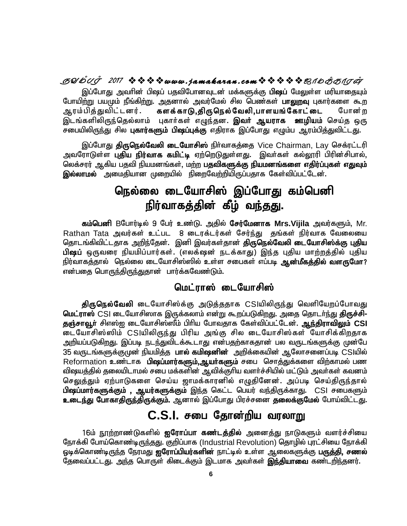### **SUDUS** 2017 ※※※※www.jamakaran.com※※※※BIDあOIG

இப்போது அவரின் பிஷப் பதவிபோனவுடன் மக்களுக்கு **பிஷப்** மேலுள்ள மரியாதையும் போயிற்று பயமும் நீங்கிற்று. அதனால் அவர்மேல் சில பெண்கள் **பாலுறவு** புகார்களை கூற ஆரம்பித்துவிட்டனர். **களக்காடு,திருநெல்வேலி,பாளயங்கோட்டை** போன்ற இடங்களிலிருந்தெல்லாம் புகார்கள் எழுந்தன. **இவர் ஆயராக ஊழியம்** செய்த ஒரு சபையிலிருந்து சில **புகார்களும் பிஷப்புக்கு** எதிராக இப்போது எழும்ப ஆரம்பித்துவிட்டது.

இப்போது **திருநெல்வேலி டையோசிஸ்** நிர்வாகத்தை Vice Chairman, Lay செக்ரட்டரி <u>அ</u>வரோடுள்ள புதிய நிர்வாக கமிட்டி ஏற்றெடுதுள்ளது. இவர்கள் கல்லூரி பிரின்சிபால், லெக்சரர் ஆகிய பதவி நியமனங்கள், மற்ற **பதவிகளுக்கு நியமனங்களை எதிர்ப்புகள் எதுவும் இல்லாமல்** அமைதியான முறையில் நிறைவேற்றியிருப்பதாக கேள்விப்பட்டேன்.

# நெல்லை டையோசிஸ் இப்போது கம்பெனி நிர்வாகத்தின் கீழ் வ<u>ந்தத</u>ு.

**fk;ngdp** BNghu;by; 9 Ngu; cz;L. mjpy; **Nru;Nkdhf Mrs.Vijila** mtu;fSk;> Mr. Rathan Tata அவர்கள் உட்பட 8 டைரக்டர்கள் சேர்ந்து தங்கள் நிர்வாக வேலையை தொடங்கிவிட்டதாக அறிந்தேன். இனி இவர்கள்தான் **திருநெல்வேலி டையோசிஸ்க்கு புதிய** பி**ஷப்** ஒருவரை நியமிப்பார்கள். (எலக்ஷன் நடக்காது) இந்த புதிய மாற்றத்தில் புதிய நிர்வாகத்தால் நெல்லை டையோசிஸ்ஸில் உள்ள சபைகள் எப்படி **ஆன்மீகத்தில் வளருமோ?** என்பதை பொருந்திருந்துதான் பார்க்கவேண்டும்.

## மெட்ராஸ் டையோசிஸ்

**திருநெல்வேலி** டையோசிஸ்க்கு அடுத்ததாக CSIயிலிருந்து வெளியேறப்போவது **மெட்ராஸ்** CSI டையோசிஸாக இருக்கலாம் என்று கூறப்படுகிறது. அதை தொடர்ந்து **திருச்சி-**தஞ்சாவூர் சிஎஸ்<u>ஐ</u> டையோசிஸ்ஸீம் பிரிய போவதாக கேள்விப்பட்டேன். ஆந்திராவிலும் CSI டையோசிஸ்ஸிம் CSIயிலிருந்து பிரிய அங்கு சில டையோசிஸ்கள் யோசிக்கிறதாக அறியப்படுகிறது. இப்படி நடந்துவிடக்கூடாது என்பதற்காகதான் பல வருடங்களுக்கு முன்பே 35 வருடங்களுக்குமுன் நியமித்த**்பால் கமிஷனின்** அறிக்கையின் ஆலோசனைப்படி CSIயில் Reformation உண்டாக பி**ஷப்மார்களும்,ஆயா்களும்** சபை சொத்துக்களை விற்காமல் பண விஷயத்தில் தலையிடாமல் சபை மக்களின் ஆவிக்குரிய வளர்ச்சியில் மட்டும் அவர்கள் கவனம் செ<u>லுத்து</u>ம் ஏற்பாடுகளை செய்ய ஜாமக்காரனில் எழுதினேன். அப்படி செய்திருந்தால் பி**ஷப்மார்களுக்கும் , ஆயர்களுக்கும்** இந்த கெட்ட பெயர் வந்திருக்காது. CSI சபைகளும் **உடைந்து போகாதிருந்திருக்கும்.** ஆனால் இப்போது பிரச்சனை **தலைக்குமேல்** போய்விட்டது.

## $C.S.I.$  சபை தோன்றிய வரலாறு

16ம் நூற்றாண்டுகளில் **ஐரோப்பா கண்டத்தில்** அனைத்து நாடுகளும் வளர்ச்சியை நோக்கி போய்கொண்டிருந்தது. குறிப்பாக (Industrial Revolution) தொழில் புரட்சியை நோக்கி ஓடிக்கொண்டிருந்த நேரமது **ஐரோப்பியர்களின்** நாட்டில் உள்ள ஆலைகளுக்கு **பருத்தி, சணல்** தேவைப்பட்டது. அந்த பொருள் கிடைக்கும் இடமாக அவர்கள் **இந்தியாவை** கண்டறிந்தனர்.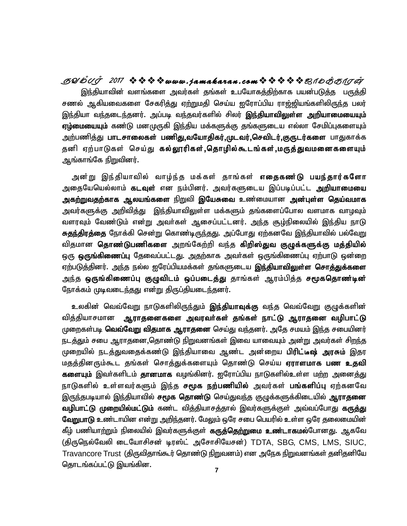**SYmTo <sup>2017</sup> www . jamaka ran . com\_ôUdLôWu** இந்தியாவின் வளங்களை அவர்கள் தங்கள் உபயோகத்திற்காக பயன்படுத்த பருத்தி சணல் ஆகியவைகளை சேகரித்து ஏற்றுமதி செய்ய <u>ஐ</u>ரோப்பிய ராஜ்ஜியங்களிலிருந்த பலர் இந்தியா வந்தடைந்தனர். அப்படி வந்தவர்களில் சிலர் **இந்தியாவிலுள்ள அறியாமையையும்** <mark>ஏழ்மையையும்</mark> கண்டு மனமுருகி இந்திய மக்களுக்கு தங்களுடைய எல்லா சேமிப்புகளையும் அற்பணித்து **பாடசாலைகள் பணிது,வயோதிகர்,முடவர்,செவிடர்,குருடர்களை** பாதுகாக்க தனி ஏற்பாடுகள் செய்து **கல்லூரிகள்,தொழில்கூடங்கள்,மருத்துவமனைகளையும்** ஆங்காங்கே நிறுவினர்.

அன்று இந்தியாவில் வாழ்ந்த மக்கள் தாங்கள் **எதைகண ்டு பயந்தார்களோ** அதையேயெல்லாம் **கடவுள்** என நம்பினர். அவர்களுடைய இப்படிப்பட்ட **அறியாமையை** அக<u>ற்றுவதற்</u>காக ஆலயங்களை நிறுவி இயேசுவை உண்மையான அன்புள்ள தெய்வமாக அவர்களுக்கு அறிவித்து இந்தியாவிலுள்ள மக்களும் தங்களைப்போல வளமாக வாழவும் வளரவும் வேண்டும் என்று அவர்கள் ஆசைப்பட்டனர். அந்த சூழ்நிலையில் இந்திய நாடு <mark>சுதந்திரத்தை</mark> நோக்கி சென்று கொண்டிருந்தது. அப்போது ஏற்கனவே இந்தியாவில் பல்வேறு விதமான **தொண்டுபணிகளை** அறங்கேற்றி வந்த **கிறிஸ்துவ குழுக்களுக்கு மத்தியில்** ஒரு **ஒருங்கிணைப்பு** தேவைப்பட்டது. அதற்காக அவர்கள் ஒருங்கிணைப்பு ஏற்பாடு ஒன்றை ஏற்படுத்தினர். அந்த நல்ல ஐரேப்பியமக்கள் தங்களுடைய **இந்தியாவிலுள்ள சொத்துக்களை** அந்த **ஒருங்கிணைப்பு குழுவிடம் ஒப்படைத்து** தாங்கள் ஆரம்பித்த **சமூகதொண்டின்** நோக்கம் முடிவடைந்தது என்று திருப்தியடைந்தனர்.

உலகின் வெவ்வேறு நாடுகளிலிருந்தும் **இந்தியாவுக்கு** வந்த வெவ்வேறு குழுக்களின் வித்தியாசமான ஆ**ராதனைகளை அவரவர்கள் தங்கள் நாட்டு ஆராதனை வழிபாட்டு** முறைகள்படி **வெவ்வேறு விதமாக ஆராதனை** செய்து வந்தனர். அதே சமயம் இந்த சபையினர் நடத்தும் சபை ஆராதனை,தொண்டு நிறுவனங்கள் இவை யாவையும் அன்று அவர்கள் ச<u>ிறந்</u>த முறையில் நடத்துவதைக்கண்டு இந்தியாவை ஆண்ட அன்றைய **பிரிட்டீஷ் அரசும்** இதர மதத்தினரும்கூட தங்கள் சொத்துக்களையும் தொண்டு செய்ய **ஏராளமாக பண உதவி களையும்** இவர்களிடம் **தானமாக** வழங்கினர். <u>ஜ</u>ரோப்பிய நாடுகளில்உள்ள மற்ற அனைத்து நாடுகளில் உள்ளவர்களும் இந்த **சமூக நற்பணியில்** அவர்கள் <mark>பங்களிப்ப</mark>ு ஏற்கனவே இருந்தபடியால் இந்தியாவில் **சமூக தொண்டு** செய்துவந்த குழுக்களுக்கிடையில் **ஆராதனை வழிபாட்டு முறையில்மட்டும்** கண்ட வித்தியாசத்தால் இவர்களுக்குள் அவ்வப்போது **கருத்து வேறுபாடு** உண்டாயின என்று அறிந்தனர். மேலும் ஒரே சபை பெயரில் உள்ள ஒரே தலைமையின் கீழ் பணியாற்றும் நிலையில் இவர்களுக்குள் **கருத்தெற்றுமை உண்டாகமல்**போனது. ஆகவே (திருநெல்வேலி டையோசிசன் டிரஸ்ட் அசோசியேசன்) TDTA, SBG, CMS, LMS, SIUC, Travancore Trust (திருவிதாங்கூர் தொண்டு நிறுவனம்) என அநேக நிறுவனங்கள் தனிதனியே தொடங்கப்பட்டு இயங்கின.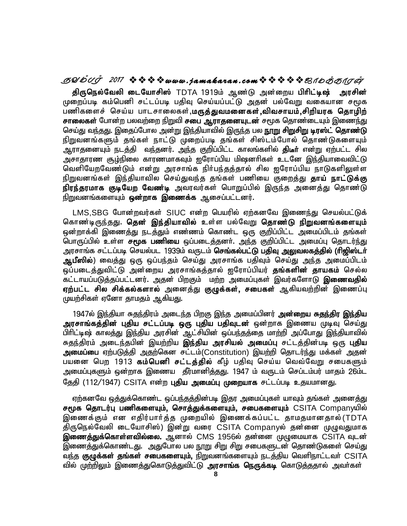### **SYmTo <sup>2017</sup> www . jamaka ran . com\_ôUdLôWu**

திருநெல்வேலி டையோசிஸ் TDTA 1919ம் ஆண்டு அன்றைய பிரிட்டிஷ் அரசின் முறைப்படி கம்பெனி சட்டப்படி பதிவு செய்யப்பட்டு அதன் பல்வேறு வகையான சமூக பணிகளைச் செய்ய பாடசாலைகள்,**மருத்துவமனைகள்,விவசாயம்,சிறியரக தொழிற் சாலைகள்** போன்ற பலவற்றை நிறுவி **சபை ஆராதனையுடன்** சமூக தொண்டையும் இணைந்து செய்து வந்தது. இதைப்போல அன்று இந்தியாவில் இருந்த பல **நூறு சிறுசிறு டிரஸ்ட் தொண்டு** நிறுவனங்களும் தங்கள் நாட்டு முறைப்படி தங்கள் சிஸ்டம்போல் தொண்டுகளையும் ஆராதனையும் நடத்தி வந்தனர். அந்த குறிப்பிட்ட காலங்களில் **திடீா்** என்று ஏற்பட்ட சில அசாதாரண சூழ்நிலை காரணமாகவும் ஐரோப்பிய மிஷனரிகள் உடனே இந்தியாவைவிட்டு வெளியேறவேண்டும் என்று அரசாங்க நிர்பந்தத்தால் சில ஐரோப்பிய நாடுகளிலுள்ள நிறுவனங்கள் இந்தியாவில செய்துவந்த தங்கள் பணியை குறைத்து **தாய் நாட்டுக்கு** நிரந்தரமாக குடியேற வேண்டி அவரவர்கள் பொறுப்பில் இருந்த அனைத்து தொண்டு நிறுவனங்களையும் **ஒன்றாக இணைக்க** ஆசைப்பட்டனர்.

LMS,SBG போன்றவர்கள் SIUC என்ற பெயரில் ஏற்கனவே இணைந்து செயல்பட்டுக் கொண்டிருந்தது. **தென் இந்தியாவில் உ**ள்ள பல்வேறு **தொண்டு நிறுவனங்களையும்** ஒன்றாக்கி இணைத்து நடத்தும் எண்ணம் கொண்ட ஒரு குறிப்பிட்ட அமைப்பிடம் தங்கள் பொருப்பில் உள்ள **சமூக பணியை** ஒப்படைத்தனர். அந்த குறிப்பிட்ட அமைப்பு தொடர்ந்து அரசாங்க சட்டப்படி செயல்பட 1939ம் வருடம் **செங்கல்பட்டு பதிவு அலுவலகத்தில் (ரிஜிஸ்டர்** <mark>ஆபீஸில்</mark>) வ<u>ைத்து</u> ஒரு ஒப்பந்தம் செய்து அரசாங்க பதிவும் செய்து <u>அந்த</u> அமைப்பிடம் ஒப்படைத்துவிட்டு அன்றைய அரசாங்கத்தால் <u>ஐ</u>ரோப்பியர் **தங்களின் தாயகம்** செல்ல கட்டாயப்படுத்தப்பட்டனர். அதன் பிறகும் மற்ற அமைப்புகள் இவர்களோடு **இணைவதில் ஏற்பட்ட சில சிக்கல்களால்** அனைத்து **குழுக்கள், சபைகள்** ஆகியவற்றின் இணைப்பு முயற்சிகள் ஏனோ தாமதம் ஆகியது.

1947ல் இந்தியா சுதந்திரம் அடைந்த பிறகு இந்த அமைப்பினர் **அன்றைய சுதந்திர இந்திய** அரசாங்கத்தின் புதிய சட்டப்படி ஒரு புதிய பதிவுடன் ஒன்றாக இணைய முடிவு செய்து பிரிட்டிஷ் காலத்து இந்திய அரசின் ஆட்சியின் ஒப்பந்தத்தை மாற்றி அப்போது இந்தியாவில் சுதந்திரம் அடைந்தபின் இயற்றிய **இந்திய அரசியல் அமைப்பு** சட்டத்தின்படி ஒரு **புதிய** <mark>அமைப்பை</mark> ஏற்படுத்தி அதற்கென சட்டம்(Constitution) இயற்றி தொடர்ந்து மக்கள் அதன் பயனை பெற 1913 **கம்பெனி சட்டத்தில்** கீழ் பதிவு செய்ய வெவ்வேறு சபைகளும் அமைப்புகளும் ஒன்றாக இணைய தீர்மானித்தது. 1947 ம் வருடம் செப்டம்பர் மாதம் 26ம்ட தேதி (112/1947) CSITA என்ற **புதிய அமைப்பு முறையாக** சட்டப்படி உதயமானது.

ஏற்கனவே ஒத்துக்கொண்ட ஒப்பந்தத்தின்படி இதர அமைப்புகள் யாவும் தங்கள் அனைத்து சமூக தொடர்பு பணிகளையும், சொத்துக்களையும், சபைகளையும் CSITA Companyயில் இணைக்கும் என எதிர்பார்த்த முறையில் இணைக்கப்பட்ட தாமதமானதால்(TDTA திருநெல்வேலி டையோசிஸ்) இன்று வரை CSITA Companyல் தன்னை முழுவதுமாக இணைத்துக்கொள்ளவில்லை. ஆனால் CMS 1956ல் தன்னை முழுமையாக CSITA வுடன் இணைத்துக்கொண்டது. அதுபோல பல நூறு சிறு சிறு சபைகளுடன் தொண்டுகளை செய்து வந்த **குழுக்கள் தங்கள் சபைகளையும்,** நிறுவனங்களையும் நடத்திய வெளிநாட்டவா் CSITA வில் மு<u>ற்றிலு</u>ம் இணைத்துகொடுத்துவிட்டு **அரசாங்க நெருக்கடி** கொடுத்ததால் அவா்கள்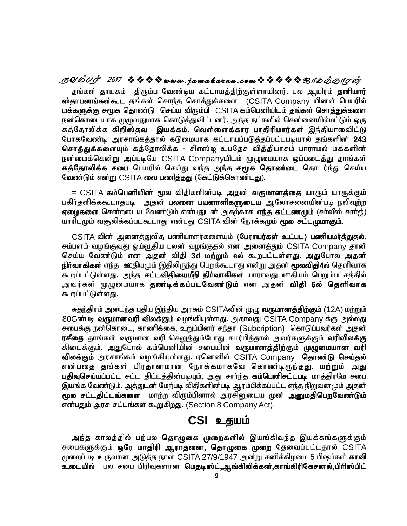**SYmTo <sup>2017</sup> www . jamaka ran . com\_ôUdLôWu** தங்கள் தாயகம் திரும்ப வேண்டிய கட்டாயத்திற்குள்ளாயினர். பல ஆயிரம் **தனியார் ஸ்தாபனங்கள்கூட** தங்கள் சொந்த சொத்துக்களை (CSITA Company யினள் பெயரில் மக்களுக்கு சமூக தொண்டு செய்ய விரும்பி CSITA கம்பெனியிடம் தங்கள் சொத்துக்களை நன்கொடையாக முழுவதுமாக கொடுத்துவிட்டனர். அந்த நட்களில் சென்னையில்மட்டும் ஒரு கத்தோலிக்க **கிறிஸ்தவ இயக்கம். வெள்ளைக்கார பாகிரிமார்கள்** இந்தியாவைிட்டு போகவேண்டி அரசாங்கக்கால் கடுமையாக கட்டாயப்படுக்கப்பட்டபடியால் கங்களின் 243 சொத்துக்களையும் கத்தோலிக்க - சிஎஸ்ஐ உபதேச வித்தியாசம் பாராமல் மக்களின் நன்மைக்கென்று அப்படியே CSITA Companyயிடம் முழுமையாக ஒப்படைத்து தாங்கள் **கத்தோலிக்க சபை** பெயரில் செய்து வந்த அந்த **சமூக தொண்டை** தொடர்ந்து செய்ய வேண்டும் என்று CSITA வை பணித்தது (கேட்டுக்கொண்டது).

<u>= CSITA **கம்பெனியின்** மூல விதிகளின்படி அத</u>ன் **வருமானத்தை** யாரும் யாருக்கும் பகிர்தளிக்ககூடாதபடி அதன் **பலனை பயனாளிகளுடைய** ஆலோசனையின்படி நலிவுற்ற **ஏழைகளை** சென்றடைய வேண்டும் என்பதுடன் அதற்காக **எந்த கட்டணமும்** (சர்வீஸ் சார்ஜ்) யாரிடமும் வசூலிக்கப்படகூடாது என்பது CSITA வின் நோக்கமும் **மூல சட்டமுமாகும்.** 

CSITA வின் அனைத்துவித பணியாளர்களையும் (**பேராயர்கள் உட்பட) பணியமர்த்துதல்.** சம்பளம் வழங்குவது ஓய்வூதிய பலன் வழங்குதல் என அனைத்தும் CSITA Company தான் செய்ய வேண்டும் என அதன் விதி 3d மற்றும் eல் கூறபட்டள்ளது. அதுபோல அதன் **நிா்வாகிகள்** எந்த ஊதியமும் இதிலிருந்து பெறக்கூடாது என்று அதன் **மூலவிதி4ல்** தெளிவாக கூறப்பட்டுள்ளது. அந்த **சட்டவிதியைமீறி நிர்வாகிகள்** யாராவது ஊதியம் பெறும்பட்சத்தில் அவர்கள் முழுமையாக **தண்டிக்கப்படவேண்டும்** என அதன் **விதி 6ல் தெளிவாக** கூறப்பட்டுள்ளது.

சுதந்திரம் அடைந்த புதிய இந்திய அரசும் CSITAவின் முழு **வருமானத்திற்கும்** (12A) மற்றும் 80Gன்படி **வருமானவரி விலக்கும்** வழங்கியுள்ளது. அதாவது CSITA Company க்கு அல்லது சபைக்கு நன்கொடை, காணிக்கை, உறுப்பினர் சந்தா (Subcription) கொடுப்பவர்கள் அதன்  $\bm{\eta}$ சீதை தாங்கள் வருமான வரி செ<u>லுத்து</u>ம்போது சமர்பித்தால் அவர்களுக்கும் **வரிவிலக்கு** கிடைக்கும். அதுபோல் கம்பெனியின் சபையின் **வருமானத்திற்கும் முழுமையான வரி** விலக்கும் அரசாங்கம் வழங்கியுள்ளது. ஏனெனில் CSITA Company தொண்டு செய்தல் என்பதை தங்கள் பிரதானமான நோக்கமாகவே கொண்டிருந்தது. மற்றும் அது **பதிவுசெய்யப்பட்ட** சட்ட திட்டத்தின்படியும், அது சார்ந்த **கம்பெனிசட்டபடி** மாத்திரமே சபை இயங்க வேண்டும். அத்துடன் மேற்படி விதிகளின்படி ஆரம்பிக்கப்பட்ட எந்த நிறுவனமும் அதன் **மூல சட்டதிட்டங்களை** மாற்ற விரும்பினால் அரசினுடைய முன் **அனுமதிபெறவேண்டும்** என்பதும் அரசு சட்டங்கள் கூறுகிறது. (Section 8 Company Act).

## $CSI$  உதயம்

அந்த காலத்தில் பற்பல **தொழுகை முறைகளில்** இயங்கிவந்த இயக்கங்களுக்கும் சபைகளுக்கும் **ஒரே மாதிரி ஆராதனை, தொழுகை முறை** தேவைப்பட்டதால் CSITA முறைப்படி உருவான அடுத்த நாள் CSITA 27/9/1947 அன்று சனிக்கிழமை 5 பிஷப்கள் **காவி** உடையில் பல சபை பிரிவுகளான **மெதடிஸ்ட்,ஆங்கிலிக்கன்,காங்கிரிகேசனல்,பிரிஸ்பிட்**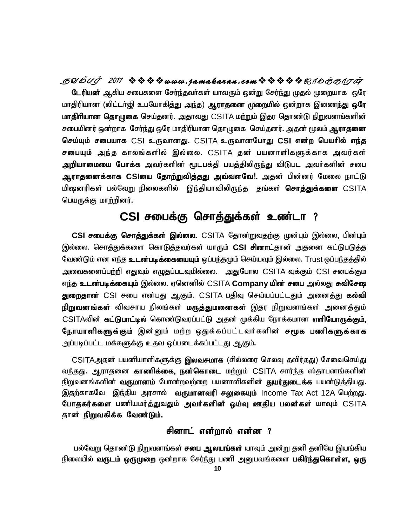**SYmTo <sup>2017</sup> www . jamaka ran . com\_ôUdLôWu டேரியன்** ஆகிய சபைகளை சேர்ந்தவா்கள் யாவரும் ஒன்று சேர்ந்து முதல் முறையாக ஒரே மாதிரியான (லிட்டா்ஜி உபயோகித்து <u>அந்</u>த) **ஆராதனை முறையில்** ஒன்றாக இணைந்து **ஒரே மாதிரியான தொழுகை** செய்தனர். அதாவது CSITA மற்றும் இதர தொண்டு நிறுவனங்களின் சபையினர் ஒன்றாக சேர்ந்து ஒரே மாதிரியான தொழுகை செய்தனர். அதன் மூலம் **ஆராதனை** செய்யும் சபையாக CSI உருவானது. CSITA உருவானபோது C**SI என்ற பெயரில் எந்த சபையும்** அந்த காலங்களில் இல்லை. CSITA தன் பயனாளிகளுக்காக அவர்கள் **அறியாமையை போக்க** அவர்களின் மூடபக்தி பயத்திலிருந்து விடுபட அவர்களின் சபை **ஆராதனைக்காக CSIயை தோற்றுவித்தது அவ்வளவே!.** அதன் பின்னர் மேலை நாட்டு புதை முன்பார்.<br>பினக செய்தனர். அத்து மானபோது **CSI**<br>19 தன் பயனாளிக்<br>பத்திலிருந்து விடுப<br>வ**ளவே!.** அதன் பி மிஷனரிகள் பல்வேறு நிலைகளில் இந்தியாவிலிருந்த தங்கள் **சொத்துக்களை** CSITA பெயருக்கு மாற்றினர்.

# CSI சபைக்கு சொத்துக்கள் உண்டா ?

CSI சபைக்கு சொத்துக்கள் இல்லை. CSITA தோன்றுவதற்கு முன்பும் இல்லை, பின்பும் இல்லை. சொத்துக்களை கொடுத்தவர்கள் யாரும் **CSI சினாட்**தான் அதனை கட்டுபடுத்த வேண்டும் என எந்த **உடன்படிக்கையையும்** ஒப்பந்தமும் செய்யவும் இல்லை. Trust ஒப்பந்தத்தில் அவைகளைப்பற்றி எதுவும் எழுதப்படவுமில்லை. அதுபோல CSITA வுக்கும் CSI சபைக்கும எந்த **உடன்படிக்கையும்** இல்லை. ஏனெனில் CSITA **Company யின் சபை** அல்லது **சுவிசேஷ துறைதான்** CSI சபை என்பது ஆகும். CSITA பதிவு செய்யப்பட்டதும் அனைத்து **கல்வி நிறுவனங்கள்** விவசாய நிலங்கள் **மருத்துமனைகள்** இதர நிறுவனங்கள் அனைத்தும் CSITAவின் கட்டுபாட்டில் கொண்டுவரப்பட்டு அதன் முக்கிய நோக்கமான எளியோருக்கும். **நோயாளிகளுக்கும்** இன்னும் மற்ற ஒதுக்கப்பட்டவர்களின் **சமூக பணிகளுக்காக** அப்படிப்பட்ட மக்களுக்கு உதவ ஒப்படைக்கப்பட்டது ஆகும்.

CSITAஅதன் பயனியாளிகளுக்கு **இலவசமாக** (சில்லரை செலவு தவிர்தது) சேவைசெய்து வ<u>ந்தது</u>. ஆராதனை **காணிக்கை, நன்கொடை** மற்றும் CSITA சார்ந்த ஸ்தாபனங்களின் நிறுவனங்களின் **வருமானம்** போன்றவற்றை பயனாளிகளின் **துயர்துடைக்க** பயன்டுத்தியது. இதற்காகவே இந்திய அரசால் **வருமானவரி சலுகையும்** Income Tax Act 12A பெ<u>ற்றது</u>. **போதகர்களை** பணியமர்த்துவதும் **அவர்களின் ஒய்வு ஊதிய பலன்கள்** யாவும் CSITA தான் **நிறுவகிக்க வேண்டும்.** 

### சினாட் என்றால் என்ன ?

பல்வேறு தொண்டு நிறுவனங்கள் **சபை ஆலயங்கள்** யாவும் அன்று தனி தனியே இயங்கிய நிலையில் **வருடம் ஒருமுறை** ஒன்றாக சேர்ந்து பணி அனுபவங்களை **பகிர்ந்துகொள்ள, ஒரு**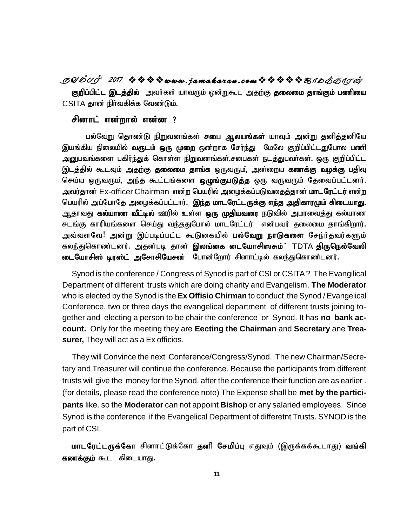**SYmTo <sup>2017</sup> www . jamaka ran . com\_ôUdLôWu** <mark>குறிப்பிட்ட இடத்தில்</mark> அவர்கள் யாவரும் ஒன்றுகூட அதற்கு **தலைமை தாங்கும் பணியை**  $CS$ ITA தான் நிர்வகிக்க வேண்டும்.

#### சினாட் என்றால் என்ன ?

பல்வேறு தொண்டு நிறுவனங்கள் **சபை ஆலயங்கள்** யாவும் அன்று தனித்தனியே இயங்கிய நிலையில் **வருடம் ஒரு முறை** ஒன்றாக சேர்ந்து மேலே குறிப்பிட்டதுபோல பணி அனுபவங்களை பகிர்ந்துக் கொள்ள நிறுவனங்கள்,சபைகள் நடத்துபவா்கள். ஒரு குறிப்பிட்ட இடத்தில் கூடவும் <u>அதற்கு</u> **தலைமை தாங்க** ஒருவரும், அன்றைய **கணக்கு வழக்கு** பதிவு செய்ய ஒருவரும், அந்த கூட்டங்களை **ஒழுங்குபடுத்த** ஒரு வருவரும் தேவைப்பட்டனர். அவர்தான் Ex-officer Chairman என்ற பெயரில் அழைக்கப்படுவதைத்தான் **மாடரேட்டர்** என்ற பெயரில் அப்போதே அழைக்கப்பட்டார். **இந்த மாடரேட்டருக்கு எந்த அதிகாரமும் கிடையாது.** ஆதாவது **கல்யாண வீட்டில்** ஊரில் உள்ள **ஒரு முதியவரை** நடுவில் அமரவைத்து கல்யாண சடங்கு காரியங்களை செய்து வந்ததுபோல் மாடரேட்டர் என்பவர் தலைமை தாங்கிறார். அவ்வளவே! அன்று இப்படிப்பட்ட கூடுகையில் **பல்வேறு நாடுகளை** சேந்ர்தவர்களும் ய ஒருவரும, அநத கூடடங்களை **ஒழுங்குபடுத்த** ஒரு வருவரும் தேவைப்பட்டனர்.<br>'தான் Ex-officer Chairman என்ற பெயரில் அழைக்கப்படுவதைத்தான் **மாடரேட்டர்** என்ற<br>ரில் அப்போதே அழைக்கப்பட்டார். **இந்த மாடரேட்டருக்கு எந்த அதிகாரமும் கிடையாத** கலந்துகொண்டனர். அதன்படி தான் **இலங்கை டையோசிஸசும்**' TDTA **திருநெல்வேலி டையோசிஸ் டிரஸ்ட் அசோசியேசன்** போன்றோர் சினாட்டில் கலந்துகொண்டனர்.

Synod is the conference / Congress of Synod is part of CSI or CSITA ? The Evangilical Department of different trusts which are doing charity and Evangelism. **The Moderator** who is elected by the Synod is the **Ex Offisio Chirman** to conduct the Synod / Evangelical Conference. two or three days the evangelical department of different trusts joining together and electing a person to be chair the conference or Synod. It has **no bank account.** Only for the meeting they are **Eecting the Chairman** and **Secretary** ane **Treasurer,** They will act as a Ex officios.

They will Convince the next Conference/Congress/Synod. The new Chairman/Secretary and Treasurer will continue the conference. Because the participants from different trusts will give the money for the Synod. after the conference their function are as earlier . (for details, please read the conference note) The Expense shall be **met by the participants** like. so the **Moderator** can not appoint **Bishop** or any salaried employees. Since Synod is the conference if the Evangelical Department of differetnt Trusts. SYNOD is the part of CSI.

**மாடரேட்டருக்கோ** சினாட்டுக்கோ **தனி சேமிப்பு** எதுவும் (இருக்கக்கூடாது) **வங்கி கணக்கும்** கூட கிடையாது.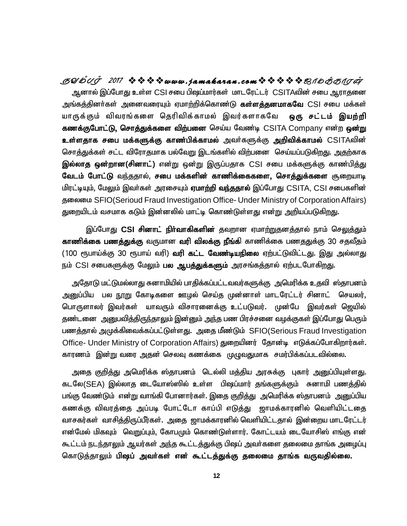**SYmTo <sup>2017</sup> www . jamaka ran . com\_ôUdLôWu** ஆனால் இப்போது உள்ள CSI சபை பிஷப்மார்கள் மாடரேட்டர் CSITAவின் சபை ஆராகுனை அங்கத்தினர்கள் அனைவரையும் ஏமாற்றிக்கொண்டு **கள்ளத்தனமாகவே** CSI சபை மக்கள் யாருக்கும் விவரங்களை தெரிவிக்காமல் இவர்களாகவே **ஒரு சட்டம் இயற்றி** கணக்குபோட்டு, சொத்துக்களை விற்பனை செய்ய வேண்டி CSITA Company என்ற ஒன்று **உள்ளதாக சபை மக்களுக்கு காண்பிக்காமல்** அவர்களுக்கு **அறிவிக்காமல்** CSITAவின் சொத்துக்கள் சட்ட விரோதமாக பல்வேறு இடங்களில் விற்பனை செய்யப்படுகிறது. அதற்காக <mark>இல்லாத ஒன்றான(சினாட்)</mark> என்று ஒன்று இருப்பதாக CSI சபை மக்களுக்கு காண்பித்து வேடம் போட்டு வந்ததால், சபை மக்களின் காணிக்கைகளை, சொத்துக்களை சூறையாடி மிரட்டியும், மேலும் இவர்கள் அரசையும் **ஏமாற்றி வந்ததால்** இப்போது CSITA, CSI சபைகளின் ക്തയെ SFIO(Serioud Fraud Investigation Office- Under Ministry of Corporation Affairs) துறையிடம் வசமாக கடும் இன்னலில் மாட்டி கொண்டுள்ளது என்று அறியப்படுகிறது.

இப்போது CSI சி**னாட் நிர்வாகிகளின்** தவறான ஏமாற்றுதனத்தால் நாம் செ<u>லுத்த</u>ும் **காணிக்கை பணத்துக்கு** வருமான **வரி விலக்கு நீங்கி** காணிக்கை பணததுக்கு 30 சதவீதம் <u>(100 ரூபாய்க்கு 30 ரூபாய் வரி) **வரி கட்ட வேண்டியநிலை** ஏற்பட்டுவிட்டது. இது அல்லாது</u> நம் CSI சபைகளுக்கு மேலும் **பல ஆபத்துக்களும்** அரசங்கத்தால் ஏற்படபோகிறது.

அதோடு மட்டுமல்லாது சுனாமியில் பாதிக்கப்பட்டவவர்களுக்கு அமெரிக்க உதவி ஸ்தாபனம் <u>அனு</u>ப்பிய பல <u>நூறு</u> கோடிகளை ஊழல் செய்த முன்னாள் மாடரேட்டர் சினாட் செயலர், பொருளாலர் இவர்கள் யாவரும் விசாரனைக்கு உட்படுவர். முன்பே இவர்கள் ஜெயில் தண்டனை அறைபவித்திருந்தாலும் இன்னும் அந்த பண பிரச்சனை வழக்குகள் இப்போது பெரும் பணத்தால் அமுக்கிவைக்கப்பட்டுள்ளது. அதை மீண்டும் SFIO(Serious Fraud Investigation Office- Under Ministry of Corporation Affairs) துறையினர் தோன்டி எடுக்கப்போகிறார்கள். காரணம் இன்று வரை அதன் செலவு கணக்கை முழுவதுமாக சமர்பிக்கப்படவில்லை.

அதை கு<u>றித்து</u> அமெரிக்க ஸ்தாபனம் டெல்லி மத்திய அரசுக்கு புகார் அனுப்பியுள்ளது. கடலே(SEA) இல்லாத டையோஸ்ஸில் உள்ள பிஷப்மார் தங்களுக்கும் சுனாமி பணத்தில் பங்கு வேண்டும் என்று வாங்கி போனார்கள். இதை குறித்து அமெரிக்க ஸ்தாபனம் அனுப்பிய கணக்கு விவரத்தை அப்படி போட்டோ காப்பி எடுத்து ஜாமக்காரனில் வெளியிட்டதை வாசகர்கள் வாசித்திருப்பீர்கள். அதை ஜாமக்காரனில் வெளியிட்டதால் இன்றைய மாடரேட்டர் என்மேல் மிகவும் வெறுப்பும், கோபமும் கொண்டுள்ளார். கோட்டயம் டையோசிஸ் எங்கு என் கூட்டம் நடந்தாலும் ஆயர்கள் அந்த கூட்டத்துக்கு பிஷப் அவர்களை தலைமை தாங்க அழைப்பு கொடுத்தாலும் பி**ஷப் அவர்கள் என் கூட்டத்துக்கு தலைமை தாங்க வருவதில்லை.**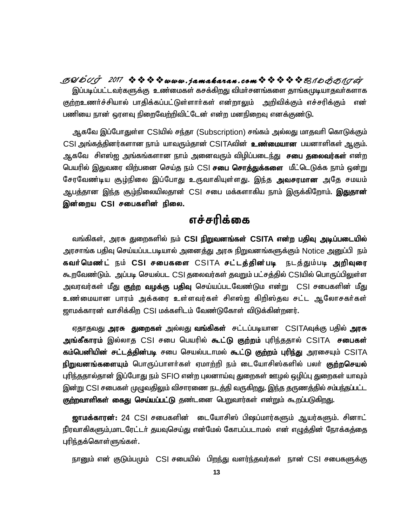**SYmTo <sup>2017</sup> www . jamaka ran . com\_ôUdLôWu** இப்படிப்பட்டவர்களுக்கு உண்மைகள் கசக்கிறது விமர்சனங்களை தாங்கமுடியாதவர்களாக குற்றஉணர்ச்சியால் பாதிக்கப்பட்டுள்ளார்கள் என்றாலும் அறிவிக்கும் எச்சரிக்கும் என் பணியை நான் ஒரளவு நிறைவேற்றிவிட்டேன் என்ற மனநிறைவு எனக்குண்டு.

ஆகவே இப்போதுள்ள CSIயில் சந்தா (Subscription) சங்கம் அல்லது மாதவரி கொடுக்கும் CSI அங்கத்தினர்களான நாம் யாவரும்தான் CSITAவின் **உண்மையான** பயனாளிகள் ஆகும். ஆகவே சிஎஸ்ஐ அங்கங்களான நாம் அனைவரும் விழிப்படை<u>ந்து</u> **சபை தலைவர்கள்** என்ற பெயரில் இதுவரை விற்பனை செய்த நம் CSI **சபை சொத்துக்களை** மீட்டெடுக்க நாம் ஒன்று சேரவேண்டிய சூழ்நிலை இப்போது உருவாகியுள்ளது. இந்த **அவசரமான** அதே சமயம் ஆபத்தான இந்த சூழ்நிலையிலதான் CSI சபை மக்களாகிய நாம் இருக்கிறோம். **இதுதான்** இன்றைய CSI சபைகளின் நிலை.

## எச்சரிக்கை

வங்கிகள், அரசு துறைகளில் நம் CSI நிறுவனங்கள் CSITA என்ற பதிவு அடிப்படையில் அரசாங்க பதிவு செய்யப்படபடியால் அனை<u>த்து</u> அரசு நிறுவனங்களுக்கும் Notice அனுப்பி நம் **கவர்மெண்ட்** நம் CSI சபைகளை CSITA சட்டத்தின்படி நடத்தும்படி அறிவுரை கூறவேண்டும். அப்படி செயல்பட CSI தலைவர்கள் தவறும் பட்சத்தில் CSIயில் பொருப்பிலுள்ள அவரவர்கள் மீது <mark>குற்ற வழக்கு பதிவு</mark> செய்யப்படவேண்டும என்று CSI சபைகளின் மீ<u>து</u> உண்மையான பாரம் அக்கரை உள்ளவர்கள் சிஎஸ்ஐ கிறிஸ்தவ சட்ட ஆலோசகர்கள் <u>ஜாமக்காரன் வாசிக்கிற</u> CSI மக்களிடம் வேண்டுகோள் விடுக்கின்றனர்.

ஏதாதவது **அரசு துறைகள்** அல்லது **வங்கிகள்** சட்டப்படியான CSITAவுக்கு பதில் **அரசு** அ**ங்கீகாரம்** இல்லாத CSI சபை பெயரில் **கூட்டு குற்றம்** புரிந்ததால் CSITA **சபைகள் கம்பெனியின் சட்டத்தின்படி** சபை செயல்படாமல் **கூட்டு குற்றம் புரிந்து** அரசையும் CSITA **நிறுவனங்களையும்** பொருப்பாளர்கள் ஏமாற்றி நம் டையோசிஸ்களில் பலர் **குற்றசெயல்** புரிந்ததால்தான் இப்போது நம் SFIO என்ற புலனாய்வு துறைகள் ஊழல் ஒழிப்பு துறைகள் யாவும் இன்று CSI சபைகள் முழுவதிலும் விசாரணை நடத்தி வருகிறது. இந்த தருணத்தில் சம்பந்தப்பட்ட **குற்றவாளிகள் கைது செய்யப்பட்டு** தண்டனை பெறுவார்கள் என்றும் கூறப்படுகிறது.

**ஜாமக்காரன்:** 24 CSI சபைகளின் டையோசிஸ் பிஷப்மார்களும் ஆயர்களும். சினாட் நீரவாகிகளும்,மாடரேட்டர் தயவுசெய்து என்மேல் கோபப்படாமல் என் எழுத்தின் நோக்கத்தை புரிந்தக்கொள்ளுங்கள்.

நானும் என் குடும்பமும் CSI சபையில் பிறந்து வளர்ந்தவர்கள் நான் CSI சபைகளுக்கு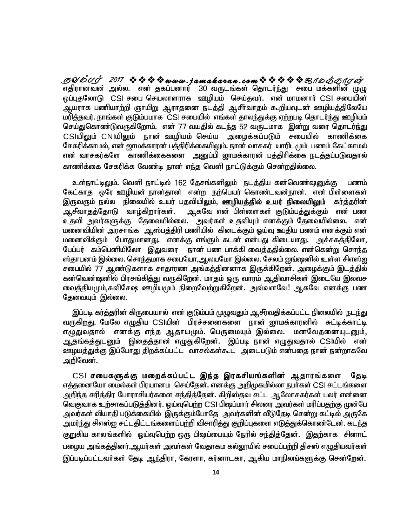எதிரானவன் அல்ல. என் தகப்பனார் 30 வருடங்கள் தொடர்ந்து சபை மக்களின் முழு ஒப்புதலோடு CSI சபை செயலாளராக ஊழியம் செய்தவர். என் மாமனார் CSI சபையின் ஆயராக பணியாற்றி ஞாயிறு ஆராதனை நடத்தி ஆசீர்வாதம் கூறியவுடன் ஊழியத்திலேயே மரித்தவர். நாங்கள் குடும்பமாக CSI சபையில் எங்கள் தாலந்துக்கு ஏற்றபடி தொடர்ந்து ஊழியம் செய்துகொண்டுவருகிறோம். என் 77 வயதில் கடந்த 52 வருடமாக இன்று வரை தொடர்ந்து CSIயிலும் CNIயிலும் நான் ஊழியம் செய்ய அழைக்கப்படும் சபையில் காணிக்கை சேகரிக்காமல், என் ஜாமக்காரன் பத்திரிக்கையிலும். நான் வாசகர் யாரிடமும் பணம் கேட்காமல் என் வாசகர்களே காணிக்கைகளை அனுப்பி ஜாமக்காரன் பத்திரிக்கை நடத்தப்படுவதால் காணிக்கை சேகரிக்க வேண்டி நான் எந்த வெளி நாட்டுக்கும் சென்றதில்லை. **SUDUJ 2017 ななななwww.jamakaran.comななななな**思イD*おo*TO*rg* 

உள்நாட்டிலும். வெளி நாட்டில் 162 தேசங்களிலும் நடத்திய கன்வெண்ஷனுக்கு பணம் கேட்காகு ஒரே ஊழியன் நான்தான் என்ற நற்பெயர் கொண்டவன்நான். என் பிள்ளைகள் இருவரும் நல்ல நிலையில் உயர் பதவியிலும், **ஊழியத்தில் உயர் நிலையிலும்** கர்த்தரின் ஆசீவாதத்தோடு வாழ்கிறார்கள். அகவே என் பிள்ளைகள் குடும்பத்துக்கும் என் பண உதவி அவர்களுக்கு தேவையில்லை. அவர்கள் உதவியும் எனக்கும் தேவையில்லை. என் மனைவியின் அரசாங்க ஆஸ்பத்திரி பணியில் கிடைக்கும் ஒய்வு ஊதிய பணம் எனக்கும் என் மனைவிக்கும் போதுமானது. எனக்கு எங்கும் கடன் என்பது கிடையாது. அச்சகத்திலோ, பேப்பர் கம்பெனியிலோ இதுவரை நான் பண பாக்கி வைத்ததில்லை. என்கென்று சொந்த ஸ்தாபனம் இல்லை. சொந்தமாக சபையோ,ஆலயமோ இல்லை. சேலம் ஜங்ஷனில் உள்ள சிஎஸ்ஐ சபையில் 77 ஆண்டுகளாக சாதாரண அங்கத்தினனாக இருக்கிறேன். அழைக்கும் இடத்தில் கன்வென்ஷனில் பிரசங்கித்து வருகிறேன். மாதம் ஒரு வாரம் ஆதிவாசிகள் இடையே இலவச வைத்தியமும்,சுவிசேஷ ஊழியமும் நிறைவேற்றுகிறேன். அவ்வளவே! ஆகவே எனக்கு பண க்ஷ <u>உங்</u>ளம் என்களும் என்<br>து கிடையாது. அச்சகத்திலோ,<br>த்ததில்லை. என்கென்று சொந்த<br>சேலம் ஜங்ஷனில் உள்ள சிஎஸ்ஐ<br>க்கிறேன். அழைக்கும் இடத்தில்<br>ஆதிவாசிகள் இடையே இலவச<br>வளவே! ஆகவே எனக்கு பண கேவையும் இல்லை.

இப்படி கர்த்தரின் கிருபையால் என் குடும்பம் முழுவதும் ஆசீர்வதிக்கப்பட்ட நிலையில் நடந்து வருகிறது. மேலே எழுதிய CSIயின் பிரச்சனைகளை நான் ஜாமக்காரனில் சுட்டிக்காட்டி எழுதுவதால் எனக்கு எந்த ஆதாயமும். பெருமையும் இல்லை. மனவேதனையுடனும், ஆதங்கத்துடனும் இதைத்தான் எழுதுகிறேன். இப்படி நான் எழுதுவதால் CSIயில் என் ஊழயத்துக்கு இப்போது திறக்கப்பட்ட வாசல்கள்கூட அடைபடும் என்பதை நான் நன்றாகவே அரிவேன்.

CSI **சபைகளுக்கு மறைக்கப்பட்ட இந்த இரகசியங்களின**் ஆதாரங்களை தேடி எத்தனையோ மைல்கள் பிரயானம செய்தேன். எனக்கு அறிமுகமில்லா நபா்கள் CSI சட்டங்களை அறிந்த சரித்திர போராசியர்களை சந்தித்தேன். கிறிஸ்தவ சட்ட ஆலோசகர்கள் பலர் என்னை வெகுவாக உற்சாகப்படுத்தினர். ஓய்வுபெற்ற CSI பிஷப்மார் சிலரை அவர்கள் மரிப்பதற்கு முன்பே அவர்கள் வியாதி படுக்கையில் இருக்கும்போதே அவர்களின் வீடுதேடி சென்று கட்டில் அருகே அமர்ந்து சிஎஸ்ஐ சட்டதிட்டங்களைப்பற்றி விசாரித்து குறிப்புகளை எடுத்துக்கொண்டேன். கடந்த குறுகிய காலங்களில் ஒய்வுபெற்ற ஒரு பிஷப்பையும் நேரில் சந்தித்தேன். இதற்காக சினாட் பழைய அங்கத்தினர், ஆயர்கள் அவர்கள் வேதாகம கல்லூயில் சபைப்பற்றி திசஸ் எமுதியவர்கள் இப்படிப்பட்டவா்கள் தேடி ஆந்திரா, கேரளா, கர்னாடகா, ஆகிய மாநிலங்களுக்கு சென்றேன்.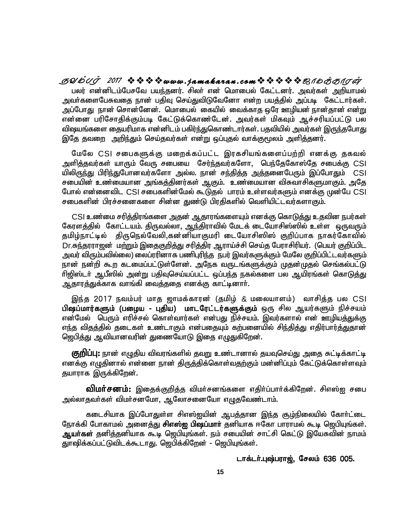**SYmTo <sup>2017</sup> www . jamaka ran . com\_ôUdLôWu** பலர் என்னிடம்பேசவே பயந்தனர். சிலர் என் மொபைல் கேட்டனர். அவர்கள் அறியாமல் அவா்களைபேசுவதை நான் பதிவு செய்துவிடுவேனோ என்ற பயத்தில் அப்படி கேட்டார்கள். அப்போது நான் சொன்னேன். மொபைல் கையில் வைக்காத ஒரே ஊழியன் நான்தான் என்று என்னை பரிசோதிக்கும்படி கேட்டுக்கொண்டேன். அவர்கள் மிகவும் ஆச்சரியப்பட்டு பல விஷயங்களை தையரிமாக என்னிடம் பகிர்ந்துகொண்டார்கள். பதவியில் அவர்கள் இருந்தபோது இதே தவறை அறிந்தும் செய்தவர்கள் என்று ஒப்புதல் வாக்குமூலம் அளித்தனர்.

மேலே CSI சபைகளுக்கு மறைக்கப்பட்ட இரகசியங்களைப்பற்றி எனக்கு தகவல் அளித்தவர்கள் யாரும் வேரு சபையை சேர்ந்தவர்களோ, பெந்தேகோஸ்தே சபைக்கு CSI யிலிருந்து பிரிந்துபோனவர்களோ அல்ல. நான் சந்தித்த அத்தனைபேரும் இப்போதும் CSI சபையின் உண்மையான அங்கத்தினர்கள் ஆகும். உண்மையான விசுவாசிகளுமாகும். அதே போல் என்னைவிட CSI சபைகளின்மேல் கூடுதல் பாரம் உள்ளவர்களும் எனக்கு முன்பே CSI சபைகளின் பிரச்சனைகளை சின்ன துண்டு பிரதிகளில் வெளியிட்டவர்களாகும்.

CSI உண்மை சரித்திரங்களை அதன் ஆதாரங்களையும் எனக்கு கொடுத்து உதவின நபர்கள் கேரளத்தில் கோட்டயம். திருவல்லா, ஆந்திராவில் மேடக் டையோசிஸ்ஸில் உள்ள ஒருவரும் தமிழ்நாட்டில் திருநெல்வேலி,கன்னியாகுமரி டையோசிஸிஸ் குறிப்பாக நாகர்கோவில் Dr.சுந்தரராஜன் மற்றும் இதைகுறித்து சரித்திர ஆராய்ச்சி செய்த பேராசிரியர். (பெயர் குறிப்பிட அவர் விரும்பவில்லை) லைப்ரரினாக பணிபுரிந்த நபர் இவர்களுக்கும் மேலே குறிப்பிட்டவர்களும் நான் நன்றி கூற கடமைப்பட்டுள்ளேன். அநேக வருடங்களுக்கும் முதன்முதல் செங்கல்பட்டு ரிஜிஸ்டர் ஆபீஸில் அன்று பதிவுசெய்யப்பட்ட ஒப்பந்த நகல்களை பல ஆயிரங்கள் கொடுத்து ஆதாரத்துக்காக வாங்கி வைத்ததை எனக்கு காட்டினாா்.

இந்த 2017 நவம்பர் மாத ஜாமக்காரன் (தமிழ் & மலையாளம்) வாசித்த பல CSI பிஷப்மார்களும் (பழைய - புதிய) மாடரேட்டர்களுக்கும் ஒரு சில ஆயர்களும் நிச்சயம் என்மேல் பெரும் எரிச்சல் கொள்வார்கள் என்பது நிச்சயம். இவர்களால் என் ஊழியத்துக்கு எந்த விதத்தில் தடைகள் உண்டாகும் என்பதையும் கற்பனையில் சிந்தித்து எதிர்பார்த்துதான் ஜெபித்து ஆவியானவரின் துணையோடு இதை எழுதுகிறேன்.

**குறிப்பு:** நான் எழுதிய விவரங்களில் தவறு உண்டானால் தயவுசெய்து அதை சுட்டிக்காட்டி எனக்கு எழுதினால் என்னை நான் திருத்திக்கொள்வதற்கும் மன்னிப்பும் கேட்டுக்கொள்ளவும் தயாராக இருக்கிறேன்.

**விமா்சனம்:** இதைக்குறித்த விமா்சனங்களை எதிா்ப்பாா்க்கிறேன். சிஎஸ்ஐ சபை அல்லாதவா்கள் விமா்சனமோ, ஆலோசனையோ எழுதவேண்டாம்.

கடைசியாக இப்போதுள்ள சிஎஸ்ஐயின் ஆபத்தான இந்த சூழ்நிலையில் கோர்ட்டை நோக்கி போகாமல் அனைத்து **சிஎஸ்ஐ பிஷப்மாா்** தனியாக ஈகோ பாராமல் கூடி ஜெபியுங்கள். **ஆயா்கள்** தனித்தனியாக கூடி ஜெபியுங்கள். நம் சபையின் சாட்சி கெட்டு இயேசுவின் நாமம் துாஷிக்கப்பட்டுவிடக்கூடாது. ஜெபிக்கிறேன் - ஜெபியுங்கள்.

#### டாக்டர்.புஷ்பராஜ், சேலம் 636 005.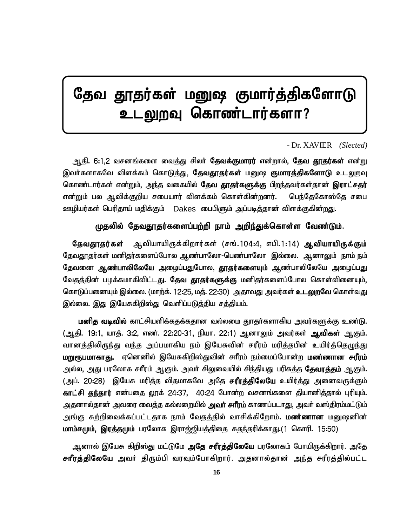# தேவ தூதர்கள் மனுஷ குமார்த்திகளோடு <u>டலுற</u>வு கொண்டார்களா?

#### - Dr. XAVIER *(Slected)*

ஆதி. 6:1,2 வசனங்களை வைத்து சிலா் **தேவக்குமாரர்** என்றால், **தேவ தூதர்கள்** என்று இவர்களாகவே விளக்கம் கொடுத்து, **தேவதூதர்கள்** மனுஷ **குமாரத்திகளோடு** உடலுறவு கொண்டார்கள் என்றும், அந்த வகையில் **தேவ தூதர்களுக்கு** பிறந்தவர்கள்தான் **இராட்சதர்** என்றும் பல ஆவிக்குறிய சபையார் விளக்கம் கொள்கின்றனர். பெந்தேகோஸ்தே சபை ஊழியர்கள் பெரிதாய் மதிக்கும் Dakes பைபிளும் அப்படித்தான் விளக்குகின்றது.

### முதலில் தேவதூதர்களைப்பற்றி நாம் அறிந்துக்கொள்ள வேண்டும்.

**தேவதூதர்கள்** ஆவியாயிருக்கிறார்கள் (சங்.104:4, எபி.1:14) **ஆவியாயிருக்கும்** தேவதூதர்கள் மனிதர்களைப்போல ஆண்பாலோ-பெண்பாலோ இல்லை. ஆனாலும் நாம் நம் தேவனை **ஆண்பாலிலேயே** அழைப்பதுபோல, **தூதர்களையும்** ஆண்பாலிலேயே அழைப்பது வேதத்தின் பழக்கமாகிவிட்டது. **தேவ தூதர்களுக்கு** மனிதர்களைப்போல கொள்வினையும், கொடுப்பனையும் இல்லை. (மாற்க். 12:25, மத். 22:30) அதாவது அவர்கள் **உடலுறவே** கொள்வது இல்லை. இது இயேசுகிறிஸ்து வெளிப்படுத்திய சத்தியம்.

**மனித வடிவில்** காட்சியளிக்கதக்கதான வல்லமை தூதர்களாகிய அவர்களுக்கு உண்டு. (ஆதி. 19:1, யாத். 3:2, எண். 22:20-31, நியா. 22:1) ஆனாலும் அவர்கள் **ஆவிகள்** ஆகும். வானத்திலிருந்து வந்த அப்பமாகிய நம் இயேசுவின் சரீரம் மரித்தபின் உயிர்த்தெழுந்து **மறுரூபமாகாது.** ஏனெனில் இயேசுகிறிஸ்துவின் சாீரம் நம்மைப்போன்ற **மண்ணான சரீரம்** அல்ல, அது பரலோக சாீரம் ஆகும். அவா் சிலுவையில் சிந்தியது பரிசுத்த **தேவரத்தம்** ஆகும். (அப். 20:28) இயேசு மரித்த விதமாகவே அதே சரீரத்திலேயே உயிர்த்து அனைவருக்கும் **காட்சி தந்தார்** என்பதை லூக் 24:37, 40:24 போன்ற வசனங்களை தியானித்தால் புரியும். அதனால்தான் அவரை வைத்த கல்லறையில் **அவா் சாீரம்** காணப்படாது, அவா் வஸ்திரம்மட்டும் அங்கு சுற்றிவைக்கப்பட்டதாக நாம் வேதத்தில் வாசிக்கிறோம். **மண்ணான** மனுஷனின் **மாம்சமும், இரத்தமும்** பரலோக இராஜ்ஜியத்திதை சுதந்தரிக்காது.(1 கொரி. 15:50)

ஆனால் இயேசு கிறிஸ்து மட்டுமே **அதே சரீரத்திலேயே** பரலோகம் போயிருக்கிறார். அதே **சாீரத்திலேயே** அவர் திரும்பி வரவும்போகிறார். அதனால்தான் அந்த சரீரத்தில்பட்ட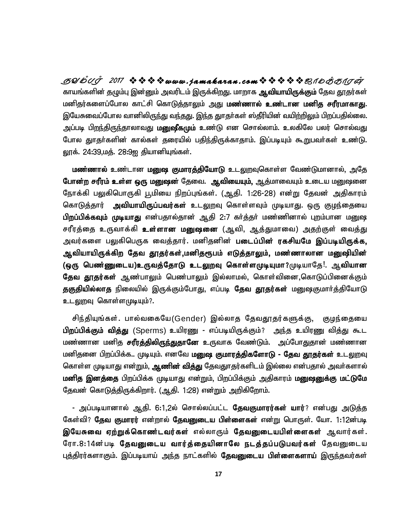**SYmTo <sup>2017</sup> www . jamaka ran . com\_ôUdLôWu** காயங்களின் தழும்பு இன்னும் அவரிடம் இருக்கிறது. மாறாக **ஆவியாயிருக்கும்** தேவ தூதர்கள் மனிதர்களைப்போல காட்சி கொடுத்தாலும் <u>அத</u>ு **மணனால் உண்டான மனித சரீரமாகாது**. இயேசுவைப்போல வானிலிருந்து வந்தது. இந்த துாதர்கள் ஸ்தீரியின் வயிற்றிலும் பிறப்பதில்லை. அப்படி பி<u>றந்</u>திருந்தாலாவது **மனுஷீகமும் உண்**டு என சொல்லாம். உலகிலே பலர் சொல்வது போல துாதா்களின் கால்கள் தரையில் பதிந்திருக்காதாம். இப்படியும் கூறுபவா்கள் உண்டு. லூக். 24:39,மத். 28:9ஐ தியானியுங்கள்.

**மண்ணால் உ**ண்டான **மனுஷ குமாரத்தியோடு உ**டலுறவுகொள்ள வேண்டுமானால், அதே போன்ற சரீரம் உள்ள ஒரு மனுஷன் தேவை. ஆவியையும், <u>ஆ</u>த்மாவையும் உடைய மனுஷனை நோக்கி பலுகிபொருகி பூமியை நிறப்புங்கள். (ஆதி. 1:26-28) என்று தேவன் அதிகாரம் கொடுத்தார் **அவியாயிருப்பவர்கள்** உடலுறவு கொள்ளவும் முடியாது. ஒரு குழந்தையை பிறப்பிக்கவும் முடியாது என்பதால்தான் ஆதி 2:7 கர்த்தர் மண்ணினால் புறம்பான மனுஷ சரீரத்தை உருவாக்கி **உள்ளான மனுஷனை** (ஆவி, ஆத்துமாவை) அதற்குள் வைத்து அவர்களை பலுகிபெருக வைத்தார். மனிதனின் **படைப்பின் ரகசியமே இப்படியிருக்க,** ஆவியாயிருக்கிற தேவ தூதர்கள்,மனிதரூபம் எடுத்தாலும், மண்ணாலான மனுஷியின் (ஒரு பெண்ணுடைய)உருவத்தோடு உடலுறவு கொள்ளமுடியுமா?முடியாதே!. ஆவியான ! **தேவ தூதர்கள்** ஆண்பாலும் பெண்பாலும் இல்லாமல், கொள்வினை,கொடுப்பினைக்கும் **தகுதியில்லாத** நிலையில் இருக்கும்போது, எப்படி **தேவ தூதர்கள்** மனுஷகுமார்த்தியோடு உடலுறவு கொள்ளமுடியும்?.

சிந்தியுங்கள். பால்வகையே(Gender) இல்லாத தேவதூதர்களுக்கு, குழந்தையை **பிறப்பிக்கும் வித்து** (Sperms) உயிரணு - எப்படியிருக்கும்? அந்த உயிரணு வித்து கூட மண்ணான மனித **சரீரத்திலிருந்துதானே உ**ருவாக வேண்டும். அப்போதுதான் மண்ணான மனிதனை பிறப்பிக்க.. முடியும். எனவே **மனுஷ குமாரத்திகளோடு - தேவ தூதர்கள்** உடலுறவு கொள்ள முடியாது என்றும், **ஆணின் வித்து** தேவதுாதர்களிடம் இல்லை என்பதால் அவர்களால் **மனித இனத்தை** பிறப்பிக்க முடியாது என்றும், பிறப்பிக்கும் அதிகாரம் **மனுஷனுக்கு மட்டுமே** தேவன் கொடுத்திருக்கிறார். (ஆதி. 1:28) என்றும் அறிகிறோம்.

- அப்படியானால் ஆதி. 6:1,2ல் சொல்லப்பட்ட **தேவகுமாரர்கள் யார்**? என்பது அடுத்த கேள்வி? **தேவ குமாரர்** என்றால் **தேவனுடைய பிள்ளைகள்** என்று பொருள். யோ. 1:12ன்படி **இயேசுவை ஏற்றுக்கொண்டவர்கள்** எல்லாரும் **தேவனுடையபிள்ளைகள்** ஆவார்கள். ரோ.8:14ன்படி **தேவனுடைய வார்த்தையினாலே நடத்தப்படுபவர்கள்** தேவனுடைய புத்திரர்களாகும். இப்படியாய் அந்த நாட்களில் **தேவனுடைய பிள்ளைகளாய்** இருந்தவர்கள்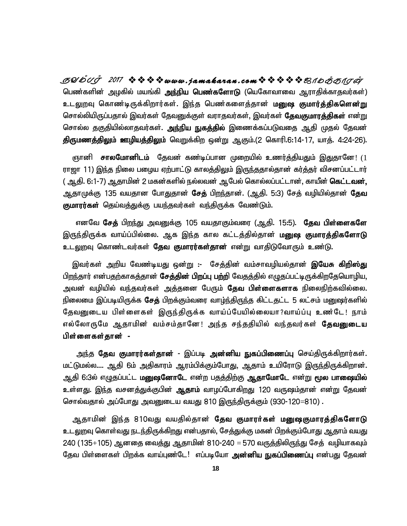பெண்களின் அழகில் மயங்கி **அந்நிய பெண்களோடு** (யெகோவாவை ஆராதிக்காதவர்கள்) உடலுறவு கொண்டிருக்கிறார்கள். இந்த பெண்களைத்தான் **மனுஷ குமார்த்திகளென்று** சொல்லியிருப்பதால் இவர்கள் தேவனுக்குள் வராதவர்கள், இவர்கள் **தேவகுமாரத்திகள்** என்று சொல்ல தகுதியில்லாதவர்கள். <mark>அந்நிய நுகத்தில்</mark> இணைக்கப்படுவதை ஆதி முதல் தேவன் திருமணத்திலும் ஊழியத்திலும் வெறுக்கிற ஒன்று ஆகும்.(2 கொரி.6:14-17, யாத். 4:24-26). **SYmTo <sup>2017</sup> www . jamaka ran . com\_ôUdLôWu**

ருானி **சாலமோனிடம்** தேவன் கண்டிப்பான முறையில் உணர்த்தியதும் இதுதானே! (1 ராஜா 11) இந்த நிலை பழைய ஏற்பாட்டு காலத்திலும் இருந்ததால்தான் கர்த்தர் விசனப்பட்டார் ( ஆதி. 6:1-7) ஆதாமின் 2 மகன்களில் நல்லவன் ஆபேல் கொல்லப்பட்டான், காயீன் **கெட்டவன்,** ஆதாமுக்கு 135 வயதான போதுதான் **சேத்** பிறந்தான். (ஆதி. 5:3) சேத் வழியில்தான் **தேவ குமாரர்கள்** தெய்வத்துக்கு பயந்தவர்கள் வந்திருக்க வேண்டும்.

எனவே **சேத்** பி<u>றந்து</u> அவனுக்கு 105 வயதாகும்வரை (ஆதி. 15:5). **தேவ பிள்ளைகளே** இருந்திருக்க வாய்ப்பில்லை. ஆக இந்த கால கட்டத்தில்தான் **மனுஷ குமாரத்திகளோடு** <u>உடலு</u>றவு கொண்டவர்கள் **தேவ குமாரர்கள்தான்** என்று வாதிடுவோரும் உண்டு.

இவர்கள் அறிய வேண்டியது ஒன்று :- சேத்தின் வம்சாவழியல்தான் **இயேசு கிறிஸ<u>்க</u>ு** பிறந்தார் என்பதற்காகத்தான் **சேத்தின் பிறப்பு பற்றி** வேதத்தில் எழுதப்பட்டிருக்கிறதேயொழிய, அவன் வழியில் வந்தவர்கள் அத்தனை பேரும் **தேவ பிள்ளைகளாக** நிலைநிற்கவில்லை. நிலைமை இப்படியிருக்க **சேத்** பிறக்கும்வரை வாழ்ந்திருந்த கிட்டதட்ட 5 லட்சம் மனுஷர்களில் தேவனுடைய பிள்ளைகள் இருந்திருக்க வாய்ப்பேயில்லையா?வாய்ப்பு உண்டே! நாம் எல்லோருமே ஆதாமின் வம்சம்தானே! அந்த சந்ததியில் வந்தவர்கள் **தேவனுடைய** பிள்ளைகள் தான் -

அந்த **தேவ குமாரர்கள்தான்** - இப்படி **அன்னிய நுகப்பிணைப்பு** செய்திருக்கிறார்கள். மட்டுமல்ல.... ஆதி 6ம் அதிகாரம் ஆரம்பிக்கும்போது, ஆதாம் உயிரோடு இருந்திருக்கிறான். <u>ஆதி</u> 6:3ல் எழுதப்பட்ட **மனுஷனோடே** என்ற பதத்திற்கு **ஆதாமோடே** என்று **மூல பாலைியல்** உள்ளது. இந்த வசனத்துக்குபின் **ஆதாம்** வாழப்போகிறது 120 வருஷம்தான் என்று தேவன் சொல்வதால் அப்போது அவனுடைய வயது 810 இருந்திருக்கும் (930-120 $=$ 810) .

ஆதாமின் இந்த 810வது வயதில்தான் **தேவ குமாரர்கள் மனுஷகுமாரத்திகளோடு** உடலுறவு கொள்வது நடந்திருக்கிறது என்பதால், சேத்துக்கு மகன் பிறக்கும்போது ஆதாம் வயது  $240$  (135 $+105$ ) ஆனதை வைத்து ஆதாமின் 810-240  $=$  570 வருத்திலிருந்து சேத் வழியாகவும் தேவ பிள்ளைகள் பிறக்க வாய்புண்டே! எப்படியோ **அன்னிய நுகப்பிணைப்பு** என்பது தேவன் டைய வயது 810 இருந்திருக்கும் (930-120=810) .<br>வயதில்தான் **தேவ குமாரா்கள் மனுஷகுமாரத்திகளோடு**<br>கிறது என்பதால், சேத்துக்கு மகன் பிறக்கும்போது ஆதாம் வயது<br>து ஆதாமின் 810-240 = 570 வருத்திலிருந்து சேத் வழியாகவும்<br>புண்டே! எப்ப<mark></mark>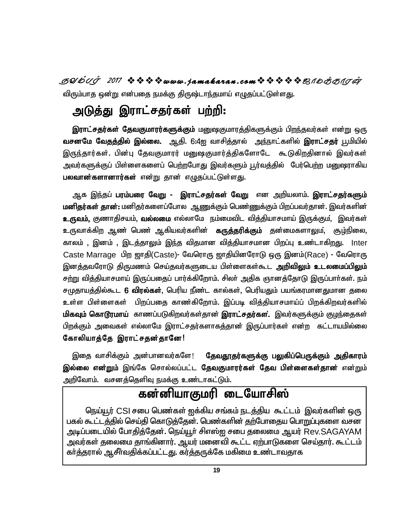**SYmTo <sup>2017</sup> www . jamaka ran . com\_ôUdLôWu** விரும்பாத ஒன்று என்பதை நமக்கு திருஷ்டாந்தமாய் எழுதப்பட்டுள்ளது.

# அடுத்து இராட்சதர்கள் பற்றி:

<mark>இராட்சதர்கள் தேவகுமாரர்களுக்கும்</mark> மனுஷகுமாரத்திகளுக்கும் பிறந்தவர்கள் என்று ஒரு **வசனமே வேதத்தில் இல்லை.** ஆதி. 6:4ஐ வாசித்தால் அந்நாட்களில் **இராட்சதர்** பூமியில் இருந்தார்கள். பின்பு தேவகுமாரர் மனுஷகுமார்த்திகளோடே கூடுகிறதினால் இவர்கள் அவர்களுக்குப் பிள்ளைகளைப் பெற்றபோது இவர்களும் <u>பூர்வத்</u>தில் பேர்பெற்ற மனுஷராகிய **பலவான்களானார்கள்** என்று தான் எழுதப்பட்டுள்ளது.

ஆக <u>இந்</u>தப் **பரம்பரை வேறு - இராட்சதர்கள் வேறு** என அறியலாம். **இராட்சதர்களும் மனிதர்கள் தான்:** மனிதர்களைப்போல ஆணுக்கும் பெண்ணுக்கும் பிறப்பவர்தான். இவர்களின் **உருவம்,** குணாதிசயம், **வல்லமை** எல்லாமே நம்மைவிட வித்தியாசமாய் இருக்கும், இவர்கள் உருவாக்கிற ஆண் பெண் ஆகியவர்களின் **கருத்தரிக்கும்** தன்மைகளாலும், சூழ்நிலை, காலம் , இனம் , இடத்தாலும் இந்த விதமான வித்தியாசமான பிறப்பு உண்டாகிறது. Inter Caste Marrage பிற ஜாதி(Caste)- வேரொரு ஜாதியினரோடு ஒரு இனம்(Race) - வேரொரு இனத்தவரோடு திருமணம் செய்தவர்களுடைய பிள்ளைகள்கூட **அறிவிலும் உடலமைப்பிலும்** சற்று வித்தியாசமாய் இருப்பதைப் பார்க்கிறோம். சிலா் அதிக ஞானத்தோடு இருப்பாா்கள். நம் சமுதாயத்தில்கூட **6 விரல்கள்**, பெரிய நீண்ட கால்கள், பெரியதும் பயங்கரமானதுமான தலை உள்ள பிள்ளைகள் பிறப்பதை காண்கிறோம். இப்படி வித்தியாசமாய்ப் பிறக்கிறவர்களில் **மிகவும் கொடூரமாய்** காணப்படுகிறவர்கள்தான் **இராட்சதர்கள்.** இவர்களுக்கும் குழந்தைகள் பிறக்கும் அவைகள் எல்லாமே இராட்சதர்களாகத்தான் இருப்பார்கள் என்ற கட்டாயமில்லை கோலியாத்தே இராட்சதன்தானே! **,**<br>ர், பெரிய நீண்ட காண<br>றத காண்கிறோம். <sub>(</sub><br>படுகிறவர்கள்தான் இ<br>ம இராட்சதர்களாகத்<br>தா**னே**!

இதை வாசிக்கும் அன்பானவர்களே! **தேவதூதர்களுக்கு பலுகிப்பெருக்கும் அதிகாரம் இல்லை என்றும்** இங்கே சொல்லப்பட்ட **தேவகுமாரர்கள் தேவ பிள்ளைகள்தான**் என்றும் அறிவோம். வசனத்தெளிவு நமக்கு உண்டாகட்டும்.

# கன்னியாகுமரி டையோசிஸ்

நெய்யூர் CSI சபை பெண்கள் ஐக்கிய சங்கம் நடத்திய கூட்டம் இவர்களின் ஒரு பகல் கூட்டத்தில் செய்தி கொடுத்தேன். பெண்களின் தற்போதைய பொறுப்புகளை வசன அடிப்படையில் போதித்தேன். நெய்யூர் சிஎஸ்ஐ சபை தலைமை ஆயர் Rev.SAGAYAM அவர்கள் தலைமை தாங்கினார். ஆயர் மனைவி கூட்ட ஏற்பாடுகளை செய்தார். கூட்டம் கர்த்தரால் ஆசீர்வதிக்கப்பட்டது. கர்த்தருக்கே மகிமை உண்டாவகாக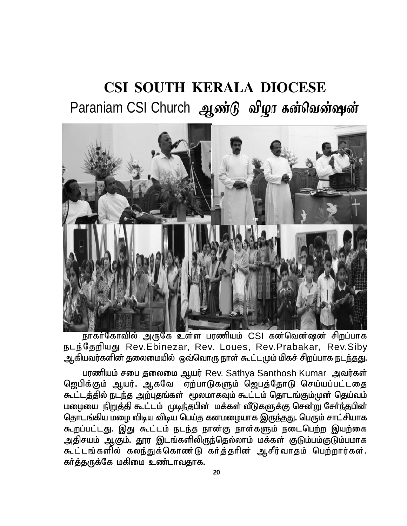# **CSI SOUTH KERALA DIOCESE** Paraniam CSI Church ஆண்டு விழா கன்வென்ஷன்



நாகர்கோவில் அருகே உள்ள பரணியம் CSI கன்வென்ஷன் சிறப்பாக நடந்தேறியது Rev.Ebinezar, Rev. Loues, Rev.Prabakar, Rev.Siby ஆகியவர்களின் தலைமையில் ஒவ்வொரு நாள் கூட்டமும் மிகச் சிறப்பாக நடந்தது.

பரணியம் சபை தலைமை ஆயர் Rev. Sathya Santhosh Kumar அவர்கள் ஜெபிக்கும் ஆயர். ஆகவே ஏற்பாடுகளும் ஜெபத்தோடு செய்யப்பட்டதை கூட்டத்தில் நடந்த அற்புதங்கள் மூலமாகவும் கூட்டம் தொடங்கும்முன் தெய்வம் மழையை நிறுத்தி கூட்டம் முடிந்தபின் மக்கள் வீடுகளுக்கு சென்று சேர்ந்தபின் தொடங்கிய மழை விடிய விடிய பெய்த கனமழையாக இருந்தது. பெரும் சாட்சியாக கூறப்பட்டது. இது கூட்டம் நடந்த நான்கு நாள்களும் நடைபெற்ற இயற்கை அதிசயம் ஆகும். தூர இடங்களிலிருந்தெல்லாம் மக்கள் குடும்பம்குடும்பமாக கூட்டங்களில் கலந்துக்கொண்டு கர்த்தரின் ஆசீர்வாதம் பெற்றார்கள். கர்த்தருக்கே மகிமை உண்டாவதாக.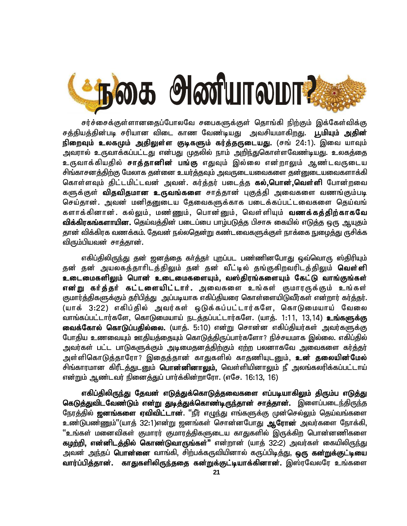

சர்ச்சைக்குள்ளானதைப்போலவே சபைகளுக்குள் தொங்கி நிற்கும் இக்கேள்விக்கு சத்தியத்தின்படி சரியான விடை காண வேண்டியது அவசியமாகிறது. **பூமியும் அதின்** <mark>நிறைவும் உலகமும் அதிலுள்ள குடிகளும் கர்த்தருடையது.</mark> (சங் 24:1). இவை யாவும் <u>அ</u>வரால் உருவாக்கப்பட்டது என்பது முதலில் நாம் <u>அறிந்து</u>கொள்ளவேண்டியது. உலகத்தை உருவாக்கியதில் **சாத்தானின் பங்கு** எதுவும் இல்லை என்றாலும் ஆண்டவருடைய சிங்காசனக்<u>திற்கு</u> மேலாக தன்னை உயர்த்தவும் அவருடையவைகளை தன்னுடையவைகளாக்கி கொள்ளவும் திட்டமிட்டவன் அவன். கர்த்தர் படைத்த **கல்,பொன்,வெள்ளி** போன்றவை களுக்குள் **விதவிதமான உருவங்களை** சாத்தான் புகுத்தி அவைகளை வணங்கும்படி செய்தான். அவன் மனிதனுடைய தேவைகளுக்காக படைக்கப்பட்டவைகளை தெய்வங் களாக்கினான். கல்லும், மண்ணும், பொன்னும், வெள்ளியும் **வணக்கக்கிர்காகவே** வி**க்கிரகங்களாயின.** தெய்வத்தின் படைப்பை பாழ்படுத்த பிசாசு கையில் எடுத்த ஒரு ஆயுதம் தான் விக்கிரக வணக்கம். கேவன் நல்லகென்று கண்டவைகளுக்குள் நாக்கை நுமைக்கு ருசிக்க விரும்பியவன் சாத்தான்.

எகிப்திலிருந்து தன் ஜனத்தை கா்த்தா் புறப்பட பண்ணினபோது ஒவ்வொரு ஸ்திரியும் தன் தன் அயலகத்தாரிடத்திலும் தன் தன் வீட்டில் தங்குகிறவரிடத்திலும் **வெள்ளி** உடைமைகளிலும் பொன் உடைமைகளையும், வஸ்திரங்களையும் கேட்டு வாங்குங்கள் **என்று கர்த்தர் கட்டளையிட்டார்.** அவைகளை உங்கள் குமாரருக்கும் உங்கள் குமார்த்திகளுக்கும் தரிபித்து அப்படியாக எகிப்தியரை கொள்ளையிடுவீர்கள் என்றார் கர்த்தர். (யாக் 3:22) எகிப்தில் அவர்கள் ஒடுக்கப்பட்டார்களே, கொடுமையாய் வேலை வாங்கப்பட்டார்களே, கொடுமையாய் நடத்தப்பட்டார்களே. (யாத். 1:11, 13,14) உங்களுக்கு வைக்**கோல் கொடுப்பதில்லை.** (யாத். 5:10) என்று சொன்ன எகிப்தியர்கள் அவர்களுக்கு போதிய உணவையும் ஊதியத்தையும் கொடுத்திருப்பார்களோ? நிச்சயமாக இல்லை. எகிப்தில் அவர்கள் பட்ட பாடுகளுக்கும் அடிமைதனக்திற்கும் ஏற்ற பலனாகவே அவைகளை கர்க்குர் அள்ளிகொடுத்தாரோ? இதைத்தான் காதுகளில் காதணியுடனும், **உன் தலையின்மேல்** சிங்காரமான கிரீடத்துடனும் **பொன்னினாலும்,** வெள்ளியினாலும் நீ அலங்கலரிக்கப்பட்டாய் என்றும் ஆண்டவர் நினைத்துப் பார்க்கின்றாரோ. (எசே. 16:13, 16)

எகிப்திலிரு<u>ந்து</u> தேவன் எடுத்துக்கொடுத்தவைகளை எப்படியாகிலும் திரும்ப எடுத்து கெடுத்துவிடவேண்டும் என்று துடித்துக்கொண்டிருந்தான் சாத்தான். இளைப்படைந்திருந்த நேரத்தில் **ஜனங்களை ஏவிவிட்டான்**. ''நீர் எழுந்து எங்களுக்கு முன்செல்லும் தெய்வங்களை உண்டுபண்ணும்"(யாத் 32:1)என்று ஜனங்கள் சொன்னபோது **ஆரோன்** அவர்களை நோக்கி, ீஉங்கள் மனைவிகள் குமாரர் குமாரத்திகளுடைய காதுகளில் இருக்கிற பொன்னணிகளை **கழற்றி, என்னிடத்தில் கொண்டுவாருங்கள்"** என்றான் (யாத் 32:2) அவர்கள் கையிலிருந்து அவன் அந்தப் **பொன்னை** வாங்கி, சிற்பக்கருவியினால் கருப்பிடித்து, **ஒரு கன்றுக்குட்டியை** வார்ப்பித்தான். காதுகளிலிருந்ததை கன்றுக்குட்டியாக்கினான். இஸ்ரவேலரே உங்களை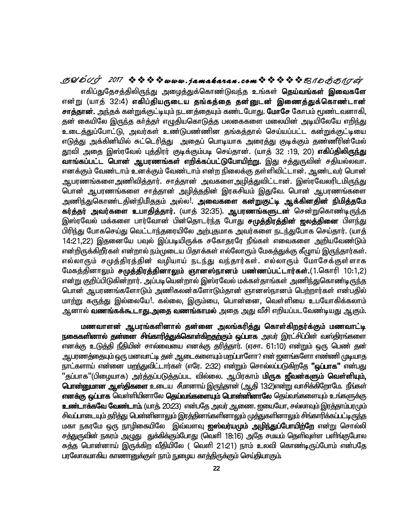**SYmTo <sup>2017</sup> www . jamaka ran . com\_ôUdLôWu** எகிப்துதேசத்திலிருந்து அழைத்துக்கொண்டுவந்த உங்கள் **தெய்வங்கள் இவைகளே** என்று (யாத் 32:4) எகிப்தியருடைய தங்கத்தை தன்னுடன் இணைத்துக்கொண்டான் **சாத்தான்.** அந்தக் கன்றுக்குட்டியும் நடனத்தையும் கண்டபோது. **மோசே** கோபம் மூண்டவனாகி, தன் கையிலே இருந்த கர்த்தர் எழுதியகொடுத்த பலகைகளை மலையின் அடியிலேயே எறிந்து உடைத்துப்போட்டு, அவர்கள் உண்டுபண்ணின தங்கத்தால் செய்யப்பட்ட கன்றுக்குட்டியை எடுத்து அக்கினியில் சுட்டெரித்து அதைப் பொடியாக அரைத்து குடிக்கும் தண்ணீரின்மேல் தூவி அதை இஸ்ரவேல் புத்திரர் குடிக்கும்படி செய்தான். (யாத் 32 :19, 20) **எகிப்திலிருந்து**<br>**வாங்கப்பட்ட பொன் ஆபரணங்கள் எறிக்கப்பட்டுபோயிற்று.** இது சத்துருவின் சதியல்லவா.<br>எனக்கும் வேண்டாம் உனக்கும் வேண்டாம் என்ற நிலைக்கு தள்ள வாங்கப்பட்ட பொன் ஆபரணங்கள் எறிக்கப்பட்டுபோயிற்று. இது சத்துருவின் சதியல்லவா. எனக்கும் வேண்டாம் உனக்கும் வேண்டாம் என்ற நிலைக்கு தள்ளிவிட்டான். ஆண்டவர் பொன் ஆபரணங்களைஅணிவித்தார். சாத்தான் அவகளைஅழித்துவிட்டான். இஸ்ரவேலரிடமிரு<u>ந்து</u> பொன் ஆபரணங்களை சாத்தான் அழித்ததின் இரகசியம் இதுவே. பொன் ஆபரணங்களை அணிந்துகொண்டதின்நிமிததம் அல்ல!. **அவைகளை கன்றுகுட்டி ஆக்கினதின் நிமித்தமே கர்த்தர் அவர்களை உபாதித்தார்.** (யாத் 32:35). **ஆபரணங்களுடன்** சென்றுகொண்டிருந்த <u>இ</u>ஸ்ரவேல் மக்களை பார்வோன் பின்தொடர்ந்த போது **சமுத்திரத்தின் ஜலத்தினை** பிளந்து பிரிந்து போகசெய்து வெட்டாந்தரையிலே அற்புதமாக அவர்களை நடந்துபோக செய்தார். (யாக் 14:21,22) இதனையே பவுல் இப்படியிருக்க சகோதரரே நீங்கள் எவைகளை அறியவேண்டும் என்றிருக்கிறீர்கள் என்றால் நம்முடைய பிதாக்கள் எல்லோரும் மேகத்துக்கு கீழுாய் இருந்தார்கள். எல்லாரும் சமுத்திரத்தின் வழியாய் நடந்து வந்தார்கள். எல்லாரும் மோசேக்குள்ளாக மேகத்தினாலும் **சமுத்திரத்தினாலும் ஞானஸ்நானம் பண்ணப்பட்டார்கள்.**(1.கொரி 10:1.2) என்று குறிப்பிடுகின்றார். அப்படியென்றால் இஸ்ரவேல் மக்கள்தாங்கள் அணிந்துகொண்டிருந்த பொன் ஆபரணங்களோடும் அணிகலன்களோடும்தான் ஞானஸ்நானம் பெற்றார்கள் என்பதில் மாற்று கருத்து இல்லையே!. கல்லை, இரும்பை, பொன்னை, வெள்ளியை உபயோகிக்கலாம் ன்றால் நம்முடைய பி<br>ரத்தின் வழியாய் !<br>ரத்தி**ரத்தினாலும் ஞ**<br>`றார். அப்படியென்றா<br>`மாரிம் அணிகலன்<br>வையே!. கல்லை, இ ஆனால் **வணங்கக்கூடாது.அதை வணங்காமல்** அதை அது வீசி எறியப்படவேண்டியது ஆகும்.

**மணவாளன் ஆபரங்களினால் தன்னை அலங்கரித்து கொள்கிறதர்க்கும் மணவாட்டி நகைகளினால் தன்னை சிங்காரித்துக்கொள்கிறதற்கும் ஒட்பாக** அவர் இரட்சிட்பின் வஸ்திரங்களை எனக்கு உடுத்தி நீதியின் சால்வையை எனக்கு தரித்தார். (ஏசா. 61:10) என்றும் ஒரு பெண் தன் ஆபரணத்தையும் ஒரு மனவாட்டி தன் ஆடைகளையும் மறப்பாளோ? என் ஜனங்களோ எண்ணி முடியாத .<br>நாட்களாய் என்னை மறந்துவிட்டார்கள் (எரே. 2:32) என்றும் சொல்லப்படுகிறதே **"ஒப்பாக"** என்பது ്'தப்பாக''(பிழையாக) அர்த்தப்படுத்தப்பட வில்லை. ஆபிரகாம் **மிருக ஜீவன்களும் வெள்ளியும், பொன்னுமான ஆஸ்திகளை** உடைய சீமானாய் இருந்தான் (அதி 13:2)என்று வாசிக்கிறோமே. நீங்கள் **எனக்கு ஒட்பாக** வெள்ளியினாலே **தெய்வங்களையும் பொன்னினாலே** தெய்வங்களையும் உங்களுக்கு <mark>உண்டாக்கவே வேண்டாம்.</mark> (யாக். 20:23) என்பதே அவர் ஆணை. ഇயையோ, சல்லாவும் இரக்காம்பரமும் சிவப்பாடையும் தரித்து பென்னினாலும் இரத்தினங்களினாலும் முத்துகளினாலும் சிங்காரிக்கப்பட்டிருந்த மகா நகரமே ஒரு நாழிகையிலே இவ்வளவு **ஐஸ்வர்யமும் அழிந்துப்போயிற்றே** என்று சொல்லி சக்துருவின் நகரம் அழுது துக்கிக்கும்போது (வெளி 18:16) அதே சமயம் கெளிவுள்ள பளிங்குபோல சுத்த பொன்னாய் இருக்கிற வீதியிலே ( வெளி 21:21) நாம் உலவி கொண்டிருப்போம் என்பதே பரலோகமாகிய காணானுக்குள் நாம் நுழைய காத்திருக்கும் செய்தியாகும்.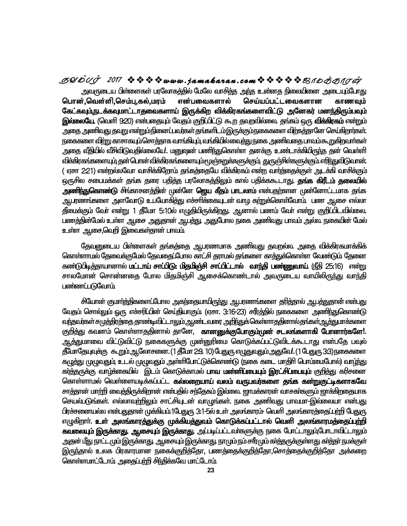*தூமீ புர் 2017* �� �� �� *www.jamakaran.com* �� �� �� *�� ஜாமக்காரன். அவ*ருடைய பிள்ளைகள் பரலோகத்தில் மேலே வாசித்த அந்த உண்ணத நிலையினை அடையும்போது<br>பொன்,வெள்ளி,செம்பு,கல்,மரம் என்பவைகளால் செய்யப்பட்டவைகளான அவருடைய பிள்ளைகள் பரலோகத்தில் மேலே வாசித்த அந்த உன்னத நிலையினை அடையும்போது பொன்,வெள்ளி,செம்பு,கல்,மரம் கேட்கவும்,நடக்கவுமாட்டாதவைகளாய் இருக்கிற விக்கிரகங்களைவிட்டு அனேகர் மனந்திரும்பவும் **இல்லையே,** (வெளி 9:20) என்பதையும் வேகும் குரிப்பிட்டு கூற குவறவில்லை. குங்கம் ஒரு **விக்கிரகம்** என்றும் <u>அதை அணிவது தவறு என்றும்நி</u>னைப்பவர்கள் தங்களிடம்இருக்கும்நகைகளை விற்கத்தானே செய்கிறார்கள். நகைகளை விற்று காசாகயும்சொத்தாக வாங்கியும் வங்கியில்வைத்து நகை அணிவதை பாவம்கூறுகிறவாா்கள் அதை வீதிமில் வீசிவிடுவதில்லையே!. மனுஷன் பணிந்துகொள்ள தனக்கு உண்டாக்கிமிருந்த தன் வெள்ளி கல்,மரம் என்பவை<br>தலைகளாய் இருக்கி<br>க். கையும் வேதம் குறிப்<br>றும்நினைப்பவர்கள் தங்<br>வெளத்தாக வாங்கியும் வ<br>ல்லையே!. மனுஷன் பல <u>விக்கிரகங்களையும் த</u>ன் பொன் விக்கிரகங்களையும்மூடு<del>ந்துறுக்க</del>ளுக்கும், துருஞ்சிள்களுக்கும் எரிந்துவிடுவான். ( ஏசா 2:21) என்றல்லவோ வாசிக்கிறோம் தங்கத்தையே விக்கிரகம் என்ற வார்த்தைக்குள் அடக்கி வாசிக்கும் ஒருசில சபைமக்கள் குங்க குரை பகித்த பரலோகக்திலும் கால் பகிக்ககூடாது. **தங்க கிரீடம் தலையில் அணிந்துகொண்**டு சிங்காசனச்தின் முன்னே **ஜெய கீதம் பாடலாம்** என்பதற்கான முன்னோட்டமாக குங்க ஆபரணங்களை அளவோடு உபயோகித்து எச்சரிக்கையுடன் வாழ க<u>ா்று</u>க்கொள்வோம். பண ஆசை எல்லா தீமைக்கும் வேர் என்று 1 தீமோ 5:10ல் எழுதியிருக்கிறது. ஆனால் பணம் வேர் என்று குறிப்பிடவில்லை. பணத்தின்மேல் உள்ள ஆசை அதுதான் அபத்து. அதுபோல நகை அணிவது பாவம் அல்ல. நகையின் மேல் உள்ள ஆசை,வெரி இவைகள்கான் பாவம்

தேவனுடைய பிள்ளைகள் தங்கத்தை ஆபரணமாக அணிவது தவறல்ல. அதை விக்கிரகமாக்கிக் <u>கொள்ளாம</u>ல் தேவைத்குமேல் தேவதைட்டோல காட்சி சுராமல் சுங்களை காச்துத்கொள்ள வேண்டும் சேனை கண்டுபிடி<u>ச்</u>தாயானால் **மட்டாய் சாப்பிடு: மிதமிஞ்சி சாப்பிட்டால் வாந்தி பண்ணுவாய் (நீதி 25:16) என்று** சாலமோன் சொன்னதை போல மிதமிஞ்சி ஆசைக்கொண்டால் அவருடைய வாயிலிருந்து வாந்தி பண்ணப்படுவோம்

சியோன் குமார்த்திகளைட்டோல அகந்தையாயிருந்து ஆபரணங்களை தரித்தால் ஆபத்துதான் என்பது வேதம் சொல்லும் ஒரு எச்சரிப்பின் செய்தியாகும் (ஏசா. 3:16-23) சரீர்த்தில் நகைகளை அணிந்துகொண்டு <u>வர்த</u>வர்கள் சமுத்திரத்தை தாண்டிவிட்டாலும் ஆண்டவரை அறிர்துக்கெள்ளாததினால்தங்கள் ஆத்துமாக்களை குறித்து கவனம் கொள்ளாததினால் தானே, **கானனுக்குபோகும்முன் சடலங்களாகி போனார்களே**!. <sub>து</sub> வாந்து<br>ன் என்பது<br>சொண்டு<br>**மாச்சுளை**<br>**ார்களே!.**<br>ோடபவல் <u>ஆச்த</u>ுமாவை விட்டுவிட்டு நகைகளுக்கு முன்னுரிமை கொடுக்கப்பட்டுவிடக்கூடாது என்பதே பவுல் தீயோதேயுவுச்கு கூறும் ஆலோசனை. (1 தீயோ 2:9. 10) பேதுரு எழுதுவதும் அதுவே!. (1 பேதுரு 3:3) நகைகளை ் க<del>ரித்தா</del>ல் ஆப<del>த்துத</del><br>]ல் நகைகளை அணி<u>ந்</u><br>imததினால்தங்கள்ஆத்<br>**ன் சடலங்களாகி போ**<br>!ட்டுவிடக்கூடாது என்<br>!ஆடுவ! (1 பேதுரு 3:3) கழுத்து முழுவதும் உடல் முழுவதும் அள்ளிபோட்டுக்கொண்டு (நகை கடை மாதிரி பொம்மைபோல்) வா<u>ழ்த</u>ு கர்<del>த்த</del>ருக்கு வாழ்க்கையில் இடம் கொடுக்காமல் **பாவ மன்னிட்டையும் இரட்சிட்டையும்** குறித்து கரிசனை கொள்ளாமல் வெள்ளையடிக்கப்பட்ட **கல்லறையாய் வலம் வருபவர்களை தங்க கன்றுகுட்டிகளாகவே** சாத்தான் மாற்றி வைத்திருக்கிறான் என்பதில் சந்தேகம் இல்லை. ஜாமக்காரன் வாசகா்களும் ஜாக்கிறதையாக செயல்படுங்கள். எல்லாவற்றிலும் சாட்சியுடன் வாழுங்கள். நகை அணிவது பாவமா-இல்லையா என்பது பிரச்சனையல்ல என்பதுதான் முக்கியம்1பேதுரு 3:1-5ல் உள் அலங்காரம்<sup>.</sup> வெளி அலங்காரத்தைட்பற்றி பேதுரு எழுகிறாா். உள் அலங்காரத்துக்கு முக்கியத்துவம் கொடுக்கப்பட்டால் வெளி அலங்காரமத்தைப்ப<mark>ா்</mark>றி **கவலையும் இருக்காது. ஆசையும் இருக்காது.** அப்படிப்பட்டவர்களுக்கு நகை போட்டாலும்போடாவிட்டாலும் <u>அ</u>தன் மீது நாட்டமும் இருக்காது. ஆசையும் இருக்காது. நாமும் நம் சாீரமும் கா்த்தருக்குள்ளது கா்த்தா் நமக்குள் இருந்தால் உலக பிரகாரமான நகைக்குறித்தோ, பணத்தைக்குறித்தோ,சொத்தைக்குறித்தோ அக்கறை <u>கொள்ளமாட்டோம் அதைப்பறி சிந்திக்கவே மாட்டோம்</u>